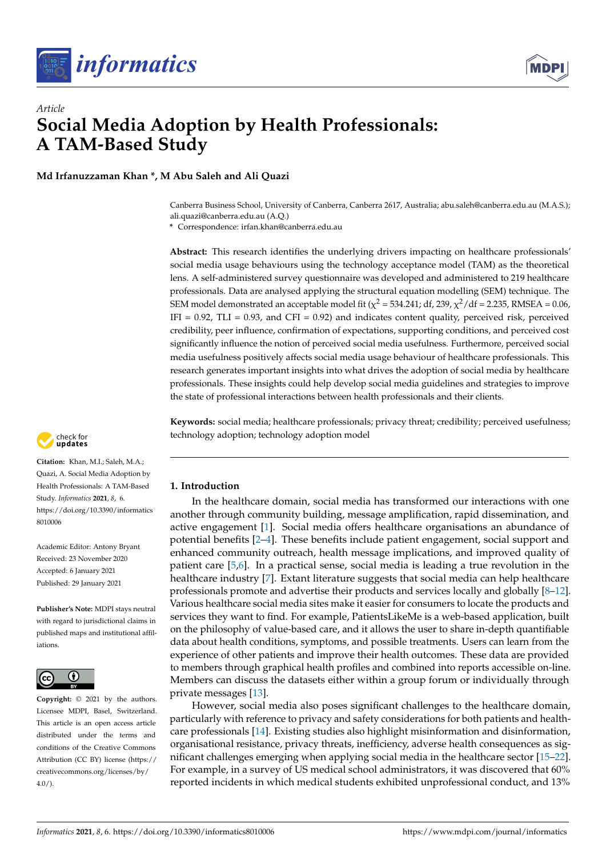



# *Article* **Social Media Adoption by Health Professionals: A TAM-Based Study**

**Md Irfanuzzaman Khan \*, M Abu Saleh and Ali Quazi**

Canberra Business School, University of Canberra, Canberra 2617, Australia; abu.saleh@canberra.edu.au (M.A.S.); ali.quazi@canberra.edu.au (A.Q.)

**\*** Correspondence: irfan.khan@canberra.edu.au

**Abstract:** This research identifies the underlying drivers impacting on healthcare professionals' social media usage behaviours using the technology acceptance model (TAM) as the theoretical lens. A self-administered survey questionnaire was developed and administered to 219 healthcare professionals. Data are analysed applying the structural equation modelling (SEM) technique. The SEM model demonstrated an acceptable model fit ( $\chi^2$  = 534.241; df, 239,  $\chi^2$ /df = 2.235, RMSEA = 0.06, IFI =  $0.92$ , TLI =  $0.93$ , and CFI =  $0.92$ ) and indicates content quality, perceived risk, perceived credibility, peer influence, confirmation of expectations, supporting conditions, and perceived cost significantly influence the notion of perceived social media usefulness. Furthermore, perceived social media usefulness positively affects social media usage behaviour of healthcare professionals. This research generates important insights into what drives the adoption of social media by healthcare professionals. These insights could help develop social media guidelines and strategies to improve the state of professional interactions between health professionals and their clients.

**Keywords:** social media; healthcare professionals; privacy threat; credibility; perceived usefulness; technology adoption; technology adoption model

# **1. Introduction**

In the healthcare domain, social media has transformed our interactions with one another through community building, message amplification, rapid dissemination, and active engagement [\[1\]](#page-11-0). Social media offers healthcare organisations an abundance of potential benefits [\[2](#page-11-1)[–4\]](#page-11-2). These benefits include patient engagement, social support and enhanced community outreach, health message implications, and improved quality of patient care [\[5](#page-11-3)[,6\]](#page-11-4). In a practical sense, social media is leading a true revolution in the healthcare industry [\[7\]](#page-11-5). Extant literature suggests that social media can help healthcare professionals promote and advertise their products and services locally and globally [\[8](#page-11-6)[–12\]](#page-12-0). Various healthcare social media sites make it easier for consumers to locate the products and services they want to find. For example, PatientsLikeMe is a web-based application, built on the philosophy of value-based care, and it allows the user to share in-depth quantifiable data about health conditions, symptoms, and possible treatments. Users can learn from the experience of other patients and improve their health outcomes. These data are provided to members through graphical health profiles and combined into reports accessible on-line. Members can discuss the datasets either within a group forum or individually through private messages [\[13\]](#page-12-1).

However, social media also poses significant challenges to the healthcare domain, particularly with reference to privacy and safety considerations for both patients and healthcare professionals [\[14\]](#page-12-2). Existing studies also highlight misinformation and disinformation, organisational resistance, privacy threats, inefficiency, adverse health consequences as significant challenges emerging when applying social media in the healthcare sector [\[15](#page-12-3)[–22\]](#page-12-4). For example, in a survey of US medical school administrators, it was discovered that 60% reported incidents in which medical students exhibited unprofessional conduct, and 13%



**Citation:** Khan, M.I.; Saleh, M.A.; Quazi, A. Social Media Adoption by Health Professionals: A TAM-Based Study. *Informatics* **2021**, *8*, 6. [https://doi.org/10.3390/informatics](https://doi.org/10.3390/informatics8010006) [8010006](https://doi.org/10.3390/informatics8010006)

Academic Editor: Antony Bryant Received: 23 November 2020 Accepted: 6 January 2021 Published: 29 January 2021

**Publisher's Note:** MDPI stays neutral with regard to jurisdictional claims in published maps and institutional affiliations.



**Copyright:** © 2021 by the authors. Licensee MDPI, Basel, Switzerland. This article is an open access article distributed under the terms and conditions of the Creative Commons Attribution (CC BY) license (https:/[/](https://creativecommons.org/licenses/by/4.0/) [creativecommons.org/licenses/by/](https://creativecommons.org/licenses/by/4.0/)  $4.0/$ ).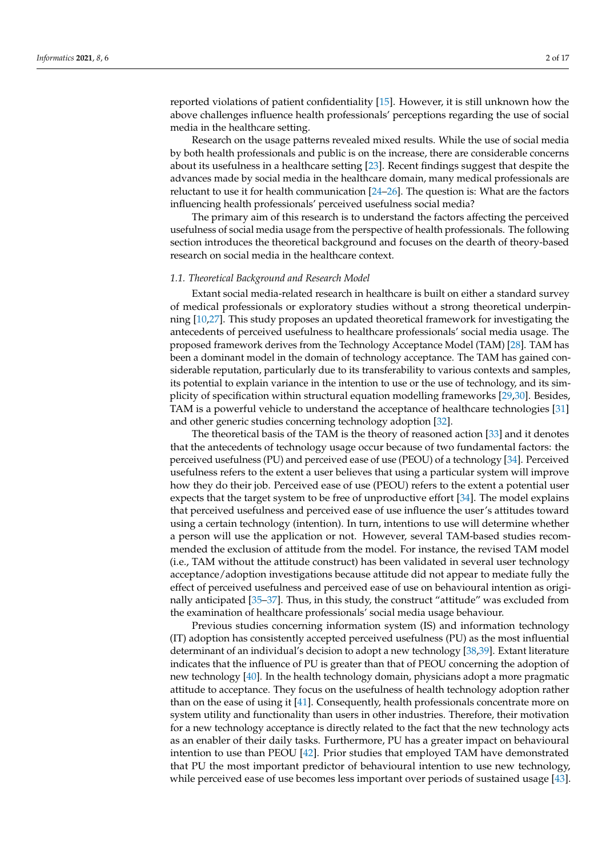reported violations of patient confidentiality [\[15\]](#page-12-3). However, it is still unknown how the above challenges influence health professionals' perceptions regarding the use of social media in the healthcare setting.

Research on the usage patterns revealed mixed results. While the use of social media by both health professionals and public is on the increase, there are considerable concerns about its usefulness in a healthcare setting [\[23\]](#page-12-5). Recent findings suggest that despite the advances made by social media in the healthcare domain, many medical professionals are reluctant to use it for health communication  $[24-26]$  $[24-26]$ . The question is: What are the factors influencing health professionals' perceived usefulness social media?

The primary aim of this research is to understand the factors affecting the perceived usefulness of social media usage from the perspective of health professionals. The following section introduces the theoretical background and focuses on the dearth of theory-based research on social media in the healthcare context.

#### *1.1. Theoretical Background and Research Model*

Extant social media-related research in healthcare is built on either a standard survey of medical professionals or exploratory studies without a strong theoretical underpinning [\[10,](#page-12-8)[27\]](#page-12-9). This study proposes an updated theoretical framework for investigating the antecedents of perceived usefulness to healthcare professionals' social media usage. The proposed framework derives from the Technology Acceptance Model (TAM) [\[28\]](#page-12-10). TAM has been a dominant model in the domain of technology acceptance. The TAM has gained considerable reputation, particularly due to its transferability to various contexts and samples, its potential to explain variance in the intention to use or the use of technology, and its simplicity of specification within structural equation modelling frameworks [\[29](#page-12-11)[,30\]](#page-12-12). Besides, TAM is a powerful vehicle to understand the acceptance of healthcare technologies [\[31\]](#page-12-13) and other generic studies concerning technology adoption [\[32\]](#page-12-14).

The theoretical basis of the TAM is the theory of reasoned action [\[33\]](#page-12-15) and it denotes that the antecedents of technology usage occur because of two fundamental factors: the perceived usefulness (PU) and perceived ease of use (PEOU) of a technology [\[34\]](#page-12-16). Perceived usefulness refers to the extent a user believes that using a particular system will improve how they do their job. Perceived ease of use (PEOU) refers to the extent a potential user expects that the target system to be free of unproductive effort [\[34\]](#page-12-16). The model explains that perceived usefulness and perceived ease of use influence the user's attitudes toward using a certain technology (intention). In turn, intentions to use will determine whether a person will use the application or not. However, several TAM-based studies recommended the exclusion of attitude from the model. For instance, the revised TAM model (i.e., TAM without the attitude construct) has been validated in several user technology acceptance/adoption investigations because attitude did not appear to mediate fully the effect of perceived usefulness and perceived ease of use on behavioural intention as originally anticipated [\[35](#page-12-17)[–37\]](#page-12-18). Thus, in this study, the construct "attitude" was excluded from the examination of healthcare professionals' social media usage behaviour.

Previous studies concerning information system (IS) and information technology (IT) adoption has consistently accepted perceived usefulness (PU) as the most influential determinant of an individual's decision to adopt a new technology [\[38](#page-12-19)[,39\]](#page-13-0). Extant literature indicates that the influence of PU is greater than that of PEOU concerning the adoption of new technology [\[40\]](#page-13-1). In the health technology domain, physicians adopt a more pragmatic attitude to acceptance. They focus on the usefulness of health technology adoption rather than on the ease of using it [\[41\]](#page-13-2). Consequently, health professionals concentrate more on system utility and functionality than users in other industries. Therefore, their motivation for a new technology acceptance is directly related to the fact that the new technology acts as an enabler of their daily tasks. Furthermore, PU has a greater impact on behavioural intention to use than PEOU [\[42\]](#page-13-3). Prior studies that employed TAM have demonstrated that PU the most important predictor of behavioural intention to use new technology, while perceived ease of use becomes less important over periods of sustained usage [\[43\]](#page-13-4).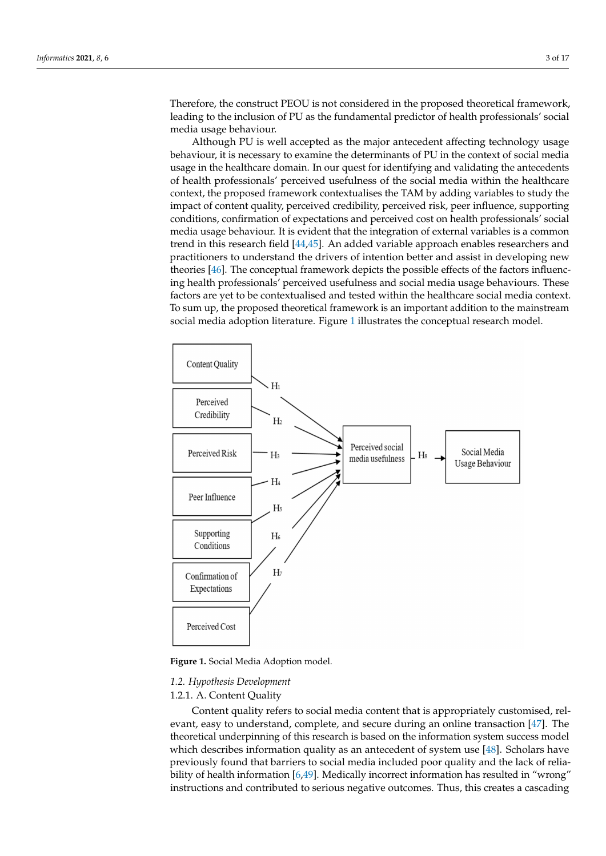Therefore, the construct PEOU is not considered in the proposed theoretical framework, leading to the inclusion of PU as the fundamental predictor of health professionals' social media usage behaviour.

Although PU is well accepted as the major antecedent affecting technology usage behaviour, it is necessary to examine the determinants of PU in the context of social media usage in the healthcare domain. In our quest for identifying and validating the antecedents of health professionals' perceived usefulness of the social media within the healthcare context, the proposed framework contextualises the TAM by adding variables to study the impact of content quality, perceived credibility, perceived risk, peer influence, supporting conditions, confirmation of expectations and perceived cost on health professionals' social media usage behaviour. It is evident that the integration of external variables is a common trend in this research field [\[44,](#page-13-5)[45\]](#page-13-6). An added variable approach enables researchers and practitioners to understand the drivers of intention better and assist in developing new theories [\[46\]](#page-13-7). The conceptual framework depicts the possible effects of the factors influencing health professionals' perceived usefulness and social media usage behaviours. These factors are yet to be contextualised and tested within the healthcare social media context. To sum up, the proposed theoretical framework is an important addition to the mainstream social media adoption literature. Figure [1](#page-2-0) illustrates the conceptual research model.

<span id="page-2-0"></span>

**Figure 1.** Social Media Adoption model.

### *1.2. Hypothesis Development*

# 1.2.1. A. Content Quality

Content quality refers to social media content that is appropriately customised, relevant, easy to understand, complete, and secure during an online transaction [\[47\]](#page-13-8). The theoretical underpinning of this research is based on the information system success model which describes information quality as an antecedent of system use [\[48\]](#page-13-9). Scholars have previously found that barriers to social media included poor quality and the lack of reliability of health information [\[6](#page-11-4)[,49\]](#page-13-10). Medically incorrect information has resulted in "wrong" instructions and contributed to serious negative outcomes. Thus, this creates a cascading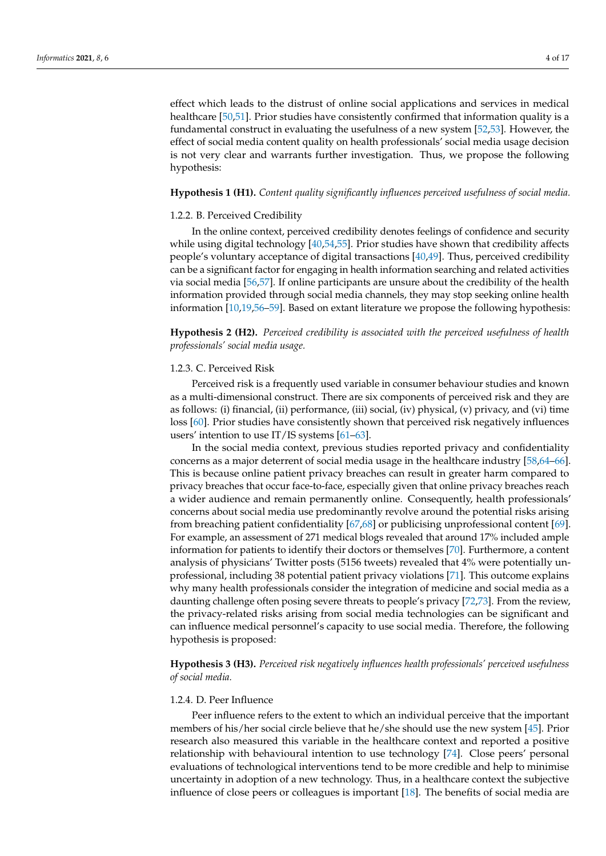effect which leads to the distrust of online social applications and services in medical healthcare [\[50,](#page-13-11)[51\]](#page-13-12). Prior studies have consistently confirmed that information quality is a fundamental construct in evaluating the usefulness of a new system [\[52](#page-13-13)[,53\]](#page-13-14). However, the effect of social media content quality on health professionals' social media usage decision is not very clear and warrants further investigation. Thus, we propose the following hypothesis:

## **Hypothesis 1 (H1).** *Content quality significantly influences perceived usefulness of social media.*

### 1.2.2. B. Perceived Credibility

In the online context, perceived credibility denotes feelings of confidence and security while using digital technology [\[40](#page-13-1)[,54](#page-13-15)[,55\]](#page-13-16). Prior studies have shown that credibility affects people's voluntary acceptance of digital transactions [\[40](#page-13-1)[,49\]](#page-13-10). Thus, perceived credibility can be a significant factor for engaging in health information searching and related activities via social media [\[56,](#page-13-17)[57\]](#page-13-18). If online participants are unsure about the credibility of the health information provided through social media channels, they may stop seeking online health information [\[10](#page-12-8)[,19](#page-12-20)[,56–](#page-13-17)[59\]](#page-13-19). Based on extant literature we propose the following hypothesis:

**Hypothesis 2 (H2).** *Perceived credibility is associated with the perceived usefulness of health professionals' social media usage.*

# 1.2.3. C. Perceived Risk

Perceived risk is a frequently used variable in consumer behaviour studies and known as a multi-dimensional construct. There are six components of perceived risk and they are as follows: (i) financial, (ii) performance, (iii) social, (iv) physical, (v) privacy, and (vi) time loss [\[60\]](#page-13-20). Prior studies have consistently shown that perceived risk negatively influences users' intention to use IT/IS systems [\[61](#page-13-21)[–63\]](#page-13-22).

In the social media context, previous studies reported privacy and confidentiality concerns as a major deterrent of social media usage in the healthcare industry [\[58,](#page-13-23)[64](#page-13-24)[–66\]](#page-13-25). This is because online patient privacy breaches can result in greater harm compared to privacy breaches that occur face-to-face, especially given that online privacy breaches reach a wider audience and remain permanently online. Consequently, health professionals' concerns about social media use predominantly revolve around the potential risks arising from breaching patient confidentiality [\[67,](#page-13-26)[68\]](#page-14-0) or publicising unprofessional content [\[69\]](#page-14-1). For example, an assessment of 271 medical blogs revealed that around 17% included ample information for patients to identify their doctors or themselves [\[70\]](#page-14-2). Furthermore, a content analysis of physicians' Twitter posts (5156 tweets) revealed that 4% were potentially unprofessional, including 38 potential patient privacy violations [\[71\]](#page-14-3). This outcome explains why many health professionals consider the integration of medicine and social media as a daunting challenge often posing severe threats to people's privacy [\[72,](#page-14-4)[73\]](#page-14-5). From the review, the privacy-related risks arising from social media technologies can be significant and can influence medical personnel's capacity to use social media. Therefore, the following hypothesis is proposed:

**Hypothesis 3 (H3).** *Perceived risk negatively influences health professionals' perceived usefulness of social media.*

## 1.2.4. D. Peer Influence

Peer influence refers to the extent to which an individual perceive that the important members of his/her social circle believe that he/she should use the new system [\[45\]](#page-13-6). Prior research also measured this variable in the healthcare context and reported a positive relationship with behavioural intention to use technology [\[74\]](#page-14-6). Close peers' personal evaluations of technological interventions tend to be more credible and help to minimise uncertainty in adoption of a new technology. Thus, in a healthcare context the subjective influence of close peers or colleagues is important [\[18\]](#page-12-21). The benefits of social media are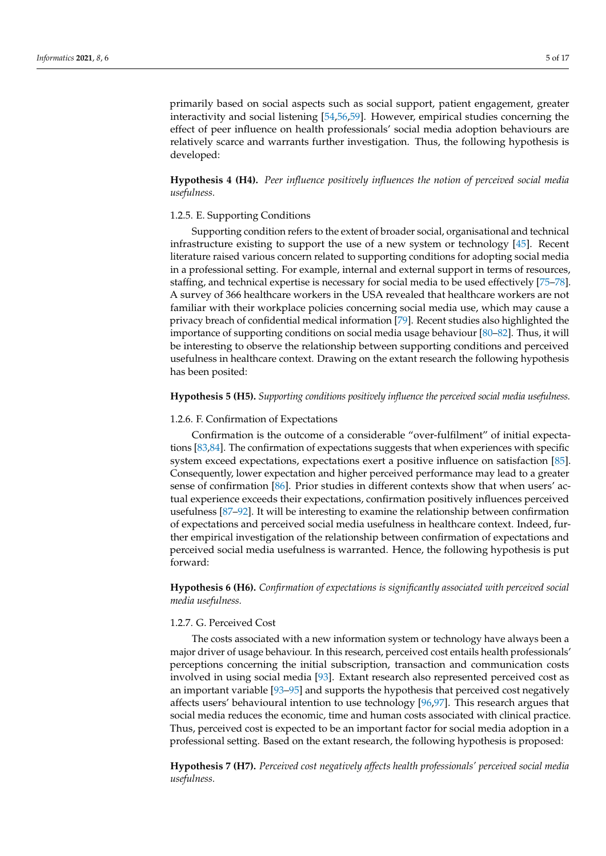primarily based on social aspects such as social support, patient engagement, greater interactivity and social listening [\[54](#page-13-15)[,56](#page-13-17)[,59\]](#page-13-19). However, empirical studies concerning the

effect of peer influence on health professionals' social media adoption behaviours are relatively scarce and warrants further investigation. Thus, the following hypothesis is developed:

**Hypothesis 4 (H4).** *Peer influence positively influences the notion of perceived social media usefulness.*

## 1.2.5. E. Supporting Conditions

Supporting condition refers to the extent of broader social, organisational and technical infrastructure existing to support the use of a new system or technology [\[45\]](#page-13-6). Recent literature raised various concern related to supporting conditions for adopting social media in a professional setting. For example, internal and external support in terms of resources, staffing, and technical expertise is necessary for social media to be used effectively [\[75](#page-14-7)[–78\]](#page-14-8). A survey of 366 healthcare workers in the USA revealed that healthcare workers are not familiar with their workplace policies concerning social media use, which may cause a privacy breach of confidential medical information [\[79\]](#page-14-9). Recent studies also highlighted the importance of supporting conditions on social media usage behaviour [\[80](#page-14-10)[–82\]](#page-14-11). Thus, it will be interesting to observe the relationship between supporting conditions and perceived usefulness in healthcare context. Drawing on the extant research the following hypothesis has been posited:

## **Hypothesis 5 (H5).** *Supporting conditions positively influence the perceived social media usefulness.*

## 1.2.6. F. Confirmation of Expectations

Confirmation is the outcome of a considerable "over-fulfilment" of initial expectations [\[83](#page-14-12)[,84\]](#page-14-13). The confirmation of expectations suggests that when experiences with specific system exceed expectations, expectations exert a positive influence on satisfaction [\[85\]](#page-14-14). Consequently, lower expectation and higher perceived performance may lead to a greater sense of confirmation [\[86\]](#page-14-15). Prior studies in different contexts show that when users' actual experience exceeds their expectations, confirmation positively influences perceived usefulness [\[87–](#page-14-16)[92\]](#page-14-17). It will be interesting to examine the relationship between confirmation of expectations and perceived social media usefulness in healthcare context. Indeed, further empirical investigation of the relationship between confirmation of expectations and perceived social media usefulness is warranted. Hence, the following hypothesis is put forward:

**Hypothesis 6 (H6).** *Confirmation of expectations is significantly associated with perceived social media usefulness.*

## 1.2.7. G. Perceived Cost

The costs associated with a new information system or technology have always been a major driver of usage behaviour. In this research, perceived cost entails health professionals' perceptions concerning the initial subscription, transaction and communication costs involved in using social media [\[93\]](#page-14-18). Extant research also represented perceived cost as an important variable [\[93](#page-14-18)[–95\]](#page-15-0) and supports the hypothesis that perceived cost negatively affects users' behavioural intention to use technology [\[96,](#page-15-1)[97\]](#page-15-2). This research argues that social media reduces the economic, time and human costs associated with clinical practice. Thus, perceived cost is expected to be an important factor for social media adoption in a professional setting. Based on the extant research, the following hypothesis is proposed:

**Hypothesis 7 (H7).** *Perceived cost negatively affects health professionals' perceived social media usefulness.*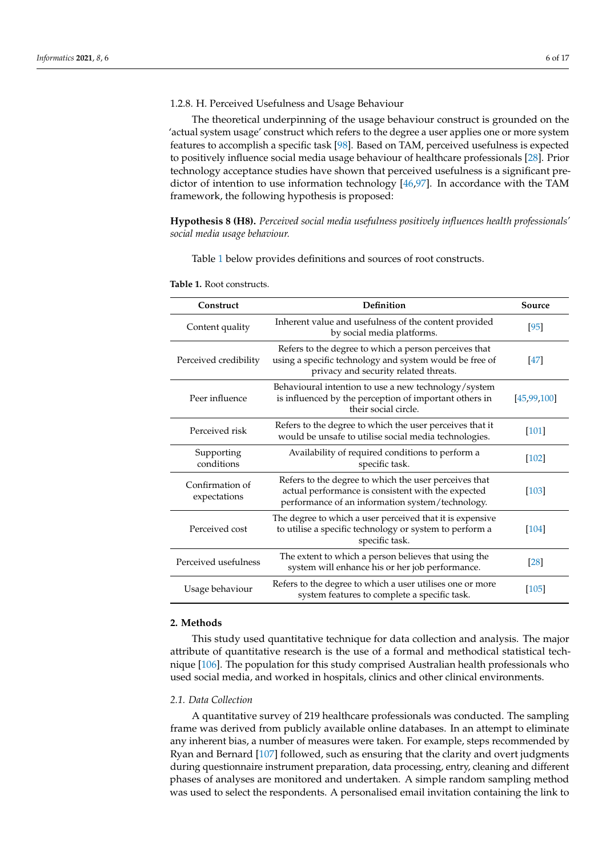## 1.2.8. H. Perceived Usefulness and Usage Behaviour

The theoretical underpinning of the usage behaviour construct is grounded on the 'actual system usage' construct which refers to the degree a user applies one or more system features to accomplish a specific task [\[98\]](#page-15-3). Based on TAM, perceived usefulness is expected to positively influence social media usage behaviour of healthcare professionals [\[28\]](#page-12-10). Prior technology acceptance studies have shown that perceived usefulness is a significant predictor of intention to use information technology [\[46](#page-13-7)[,97\]](#page-15-2). In accordance with the TAM framework, the following hypothesis is proposed:

**Hypothesis 8 (H8).** *Perceived social media usefulness positively influences health professionals' social media usage behaviour.*

Table [1](#page-5-0) below provides definitions and sources of root constructs.

| Construct                       | Definition                                                                                                                                                      | Source      |
|---------------------------------|-----------------------------------------------------------------------------------------------------------------------------------------------------------------|-------------|
| Content quality                 | Inherent value and usefulness of the content provided<br>by social media platforms.                                                                             | $[95]$      |
| Perceived credibility           | Refers to the degree to which a person perceives that<br>using a specific technology and system would be free of<br>privacy and security related threats.       |             |
| Peer influence                  | Behavioural intention to use a new technology/system<br>is influenced by the perception of important others in<br>their social circle.                          | [45,99,100] |
| Perceived risk                  | Refers to the degree to which the user perceives that it<br>would be unsafe to utilise social media technologies.                                               | [101]       |
| Supporting<br>conditions        | Availability of required conditions to perform a<br>specific task.                                                                                              | [102]       |
| Confirmation of<br>expectations | Refers to the degree to which the user perceives that<br>actual performance is consistent with the expected<br>performance of an information system/technology. | [103]       |
| Perceived cost                  | The degree to which a user perceived that it is expensive<br>to utilise a specific technology or system to perform a<br>specific task.                          | [104]       |
| Perceived usefulness            | The extent to which a person believes that using the<br>system will enhance his or her job performance.                                                         |             |
| Usage behaviour                 | Refers to the degree to which a user utilises one or more<br>system features to complete a specific task.                                                       | [105]       |

<span id="page-5-0"></span>**Table 1.** Root constructs.

# **2. Methods**

This study used quantitative technique for data collection and analysis. The major attribute of quantitative research is the use of a formal and methodical statistical technique [\[106\]](#page-15-11). The population for this study comprised Australian health professionals who used social media, and worked in hospitals, clinics and other clinical environments.

#### *2.1. Data Collection*

A quantitative survey of 219 healthcare professionals was conducted. The sampling frame was derived from publicly available online databases. In an attempt to eliminate any inherent bias, a number of measures were taken. For example, steps recommended by Ryan and Bernard [\[107\]](#page-15-12) followed, such as ensuring that the clarity and overt judgments during questionnaire instrument preparation, data processing, entry, cleaning and different phases of analyses are monitored and undertaken. A simple random sampling method was used to select the respondents. A personalised email invitation containing the link to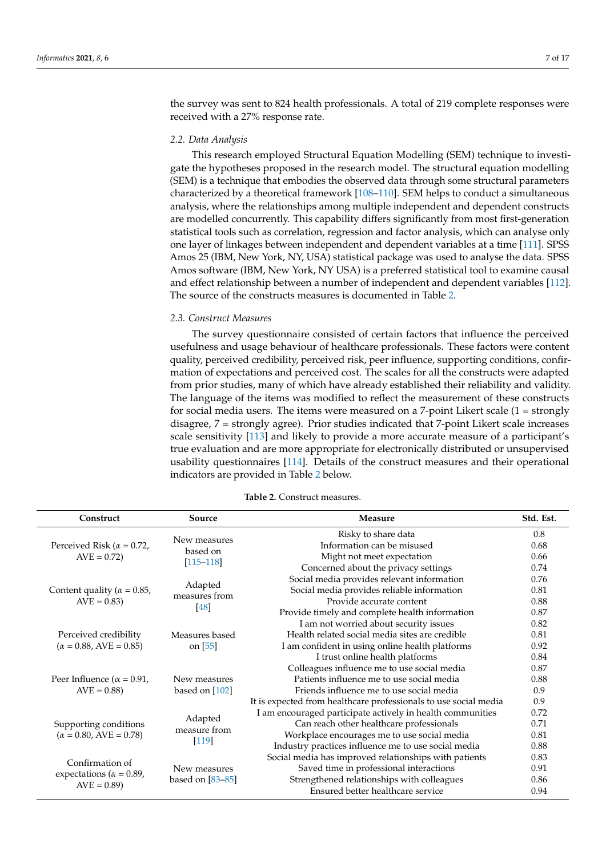the survey was sent to 824 health professionals. A total of 219 complete responses were received with a 27% response rate.

## *2.2. Data Analysis*

This research employed Structural Equation Modelling (SEM) technique to investigate the hypotheses proposed in the research model. The structural equation modelling (SEM) is a technique that embodies the observed data through some structural parameters characterized by a theoretical framework [\[108–](#page-15-13)[110\]](#page-15-14). SEM helps to conduct a simultaneous analysis, where the relationships among multiple independent and dependent constructs are modelled concurrently. This capability differs significantly from most first-generation statistical tools such as correlation, regression and factor analysis, which can analyse only one layer of linkages between independent and dependent variables at a time [\[111\]](#page-15-15). SPSS Amos 25 (IBM, New York, NY, USA) statistical package was used to analyse the data. SPSS Amos software (IBM, New York, NY USA) is a preferred statistical tool to examine causal and effect relationship between a number of independent and dependent variables [\[112\]](#page-15-16). The source of the constructs measures is documented in Table [2.](#page-7-0)

## *2.3. Construct Measures*

The survey questionnaire consisted of certain factors that influence the perceived usefulness and usage behaviour of healthcare professionals. These factors were content quality, perceived credibility, perceived risk, peer influence, supporting conditions, confirmation of expectations and perceived cost. The scales for all the constructs were adapted from prior studies, many of which have already established their reliability and validity. The language of the items was modified to reflect the measurement of these constructs for social media users. The items were measured on a 7-point Likert scale  $(1 = \text{strongly})$ disagree, 7 = strongly agree). Prior studies indicated that 7-point Likert scale increases scale sensitivity [\[113\]](#page-15-17) and likely to provide a more accurate measure of a participant's true evaluation and are more appropriate for electronically distributed or unsupervised usability questionnaires [\[114\]](#page-15-18). Details of the construct measures and their operational indicators are provided in Table [2](#page-7-0) below.

| Construct                                              | Source                   | Measure                                                          | Std. Est. |
|--------------------------------------------------------|--------------------------|------------------------------------------------------------------|-----------|
|                                                        |                          | Risky to share data                                              | 0.8       |
| Perceived Risk ( $\alpha$ = 0.72,                      | New measures             | Information can be misused                                       | 0.68      |
| $AVE = 0.72$                                           | based on                 | Might not meet expectation                                       | 0.66      |
|                                                        | $[115 - 118]$            | Concerned about the privacy settings                             | 0.74      |
|                                                        |                          | Social media provides relevant information                       | 0.76      |
| Content quality ( $\alpha = 0.85$ )                    | Adapted<br>measures from | Social media provides reliable information                       | 0.81      |
| $AVE = 0.83$                                           |                          | Provide accurate content                                         | 0.88      |
|                                                        | [48]                     | Provide timely and complete health information                   | 0.87      |
|                                                        |                          | I am not worried about security issues                           | 0.82      |
| Perceived credibility                                  | Measures based           | Health related social media sites are credible                   | 0.81      |
| $(\alpha = 0.88, AVE = 0.85)$                          | on [55]                  | I am confident in using online health platforms                  | 0.92      |
|                                                        |                          | I trust online health platforms                                  | 0.84      |
|                                                        |                          | Colleagues influence me to use social media                      | 0.87      |
| Peer Influence ( $\alpha$ = 0.91,                      | New measures             | Patients influence me to use social media                        | 0.88      |
| $AVE = 0.88$                                           | based on [102]           | Friends influence me to use social media                         | 0.9       |
|                                                        |                          | It is expected from healthcare professionals to use social media | 0.9       |
|                                                        | Adapted                  | I am encouraged participate actively in health communities       | 0.72      |
| Supporting conditions<br>$(\alpha = 0.80, AVE = 0.78)$ | measure from             | Can reach other healthcare professionals                         | 0.71      |
|                                                        | $[119]$                  | Workplace encourages me to use social media                      | 0.81      |
|                                                        |                          | Industry practices influence me to use social media              | 0.88      |
| Confirmation of                                        |                          | Social media has improved relationships with patients            | 0.83      |
| expectations ( $\alpha$ = 0.89,                        | New measures             | Saved time in professional interactions                          | 0.91      |
|                                                        | based on $[83-85]$       | Strengthened relationships with colleagues                       | 0.86      |
| $AVE = 0.89$                                           |                          | Ensured better healthcare service                                | 0.94      |

### **Table 2.** Construct measures.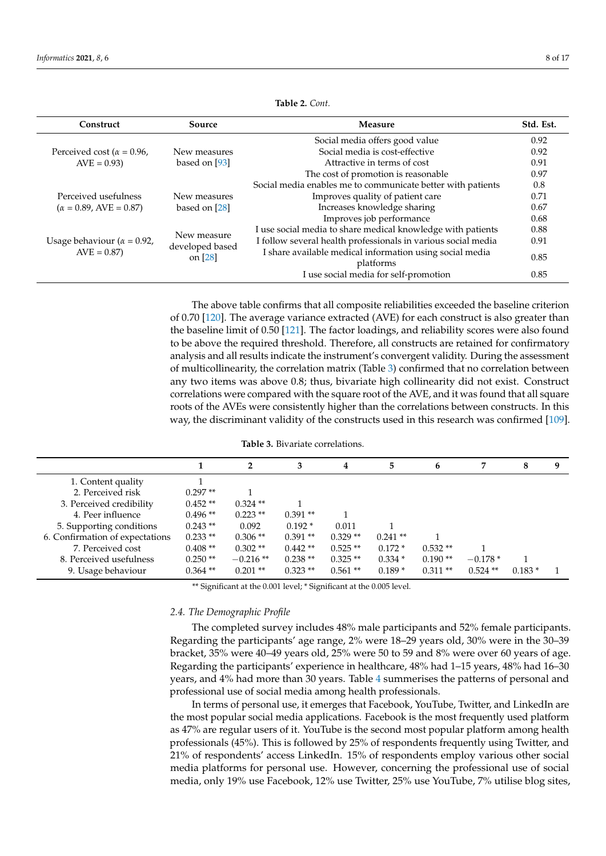<span id="page-7-0"></span>

| Construct                                           | Source                                      | Measure                                                       | Std. Est. |
|-----------------------------------------------------|---------------------------------------------|---------------------------------------------------------------|-----------|
|                                                     |                                             | Social media offers good value                                | 0.92      |
| Perceived cost ( $\alpha$ = 0.96,                   | New measures                                | Social media is cost-effective                                | 0.92      |
| $AVE = 0.93$                                        | based on [93]                               | Attractive in terms of cost                                   | 0.91      |
|                                                     |                                             | The cost of promotion is reasonable                           | 0.97      |
|                                                     |                                             | Social media enables me to communicate better with patients   | 0.8       |
| Perceived usefulness                                | New measures                                | Improves quality of patient care                              | 0.71      |
| $(\alpha = 0.89, AVE = 0.87)$                       | based on [28]                               | Increases knowledge sharing                                   | 0.67      |
|                                                     |                                             | Improves job performance                                      | 0.68      |
|                                                     |                                             | I use social media to share medical knowledge with patients   | 0.88      |
| Usage behaviour ( $\alpha = 0.92$ ,<br>$AVE = 0.87$ | New measure<br>developed based<br>on $[28]$ | I follow several health professionals in various social media | 0.91      |
|                                                     |                                             | I share available medical information using social media      |           |
|                                                     |                                             | platforms                                                     | 0.85      |
|                                                     |                                             | I use social media for self-promotion                         | 0.85      |

**Table 2.** *Cont.*

The above table confirms that all composite reliabilities exceeded the baseline criterion of 0.70 [\[120\]](#page-15-22). The average variance extracted (AVE) for each construct is also greater than the baseline limit of 0.50 [\[121\]](#page-15-23). The factor loadings, and reliability scores were also found to be above the required threshold. Therefore, all constructs are retained for confirmatory analysis and all results indicate the instrument's convergent validity. During the assessment of multicollinearity, the correlation matrix (Table [3\)](#page-7-1) confirmed that no correlation between any two items was above 0.8; thus, bivariate high collinearity did not exist. Construct correlations were compared with the square root of the AVE, and it was found that all square roots of the AVEs were consistently higher than the correlations between constructs. In this way, the discriminant validity of the constructs used in this research was confirmed [\[109\]](#page-15-24).

|  |  |  | <b>Table 3.</b> Bivariate correlations. |
|--|--|--|-----------------------------------------|
|  |  |  |                                         |

<span id="page-7-1"></span>

|                                 |            | $\mathbf{2}$ | 3         | 4         | 5         | 6         | 7         | 8        | 9 |
|---------------------------------|------------|--------------|-----------|-----------|-----------|-----------|-----------|----------|---|
| 1. Content quality              |            |              |           |           |           |           |           |          |   |
| 2. Perceived risk               | $0.297**$  |              |           |           |           |           |           |          |   |
| 3. Perceived credibility        | $0.452**$  | $0.324$ **   |           |           |           |           |           |          |   |
| 4. Peer influence               | $0.496**$  | $0.223$ **   | $0.391**$ |           |           |           |           |          |   |
| 5. Supporting conditions        | $0.243**$  | 0.092        | $0.192*$  | 0.011     |           |           |           |          |   |
| 6. Confirmation of expectations | $0.233**$  | $0.306**$    | $0.391**$ | $0.329**$ | $0.241**$ |           |           |          |   |
| 7. Perceived cost               | $0.408**$  | $0.302**$    | $0.442**$ | $0.525**$ | $0.172*$  | $0.532**$ |           |          |   |
| 8. Perceived usefulness         | $0.250**$  | $-0.216**$   | $0.238**$ | $0.325**$ | $0.334*$  | $0.190**$ | $-0.178*$ |          |   |
| 9. Usage behaviour              | $0.364$ ** | $0.201$ **   | $0.323**$ | $0.561**$ | $0.189*$  | $0.311**$ | $0.524**$ | $0.183*$ |   |
|                                 |            |              |           |           |           |           |           |          |   |

\*\* Significant at the 0.001 level; \* Significant at the 0.005 level.

### *2.4. The Demographic Profile*

The completed survey includes 48% male participants and 52% female participants. Regarding the participants' age range, 2% were 18–29 years old, 30% were in the 30–39 bracket, 35% were 40–49 years old, 25% were 50 to 59 and 8% were over 60 years of age. Regarding the participants' experience in healthcare, 48% had 1–15 years, 48% had 16–30 years, and 4% had more than 30 years. Table [4](#page-8-0) summerises the patterns of personal and professional use of social media among health professionals.

In terms of personal use, it emerges that Facebook, YouTube, Twitter, and LinkedIn are the most popular social media applications. Facebook is the most frequently used platform as 47% are regular users of it. YouTube is the second most popular platform among health professionals (45%). This is followed by 25% of respondents frequently using Twitter, and 21% of respondents' access LinkedIn. 15% of respondents employ various other social media platforms for personal use. However, concerning the professional use of social media, only 19% use Facebook, 12% use Twitter, 25% use YouTube, 7% utilise blog sites,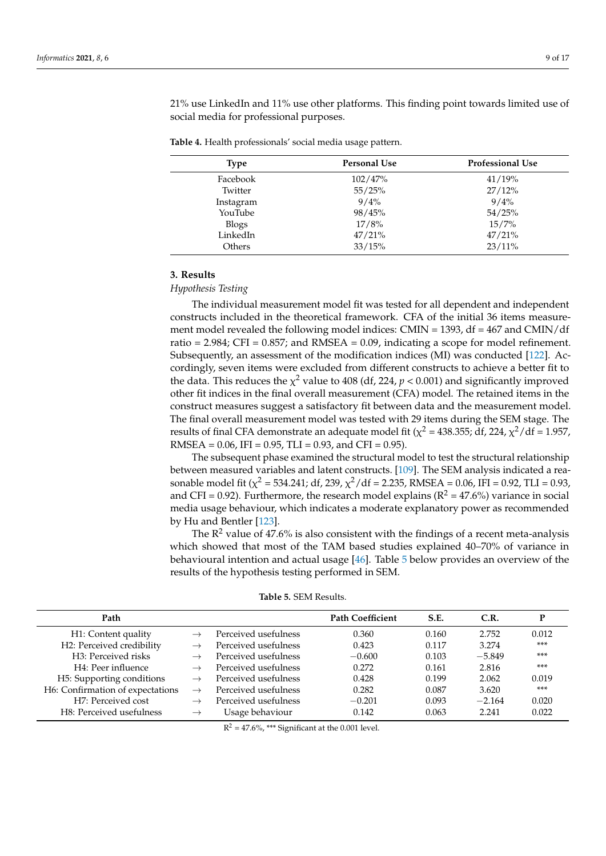21% use LinkedIn and 11% use other platforms. This finding point towards limited use of social media for professional purposes.

<span id="page-8-0"></span>

|  |  | Table 4. Health professionals' social media usage pattern |  |  |
|--|--|-----------------------------------------------------------|--|--|
|--|--|-----------------------------------------------------------|--|--|

| Type         | <b>Personal Use</b> | <b>Professional Use</b> |
|--------------|---------------------|-------------------------|
| Facebook     | 102/47%             | 41/19%                  |
| Twitter      | 55/25%              | 27/12%                  |
| Instagram    | $9/4\%$             | 9/4%                    |
| YouTube      | 98/45%              | 54/25%                  |
| <b>Blogs</b> | 17/8%               | $15/7\%$                |
| LinkedIn     | 47/21%              | 47/21%                  |
| Others       | 33/15%              | 23/11%                  |

# **3. Results**

### *Hypothesis Testing*

The individual measurement model fit was tested for all dependent and independent constructs included in the theoretical framework. CFA of the initial 36 items measurement model revealed the following model indices: CMIN = 1393, df = 467 and CMIN/df ratio =  $2.984$ ; CFI =  $0.857$ ; and RMSEA =  $0.09$ , indicating a scope for model refinement. Subsequently, an assessment of the modification indices (MI) was conducted [\[122\]](#page-15-25). Accordingly, seven items were excluded from different constructs to achieve a better fit to the data. This reduces the  $\chi^2$  value to 408 (df, 224,  $p < 0.001$ ) and significantly improved other fit indices in the final overall measurement (CFA) model. The retained items in the construct measures suggest a satisfactory fit between data and the measurement model. The final overall measurement model was tested with 29 items during the SEM stage. The results of final CFA demonstrate an adequate model fit ( $\chi^2$  = 438.355; df, 224,  $\chi^2$ /df = 1.957, RMSEA =  $0.06$ , IFI =  $0.95$ , TLI =  $0.93$ , and CFI =  $0.95$ ).

The subsequent phase examined the structural model to test the structural relationship between measured variables and latent constructs. [\[109\]](#page-15-24). The SEM analysis indicated a reasonable model fit ( $\chi^2$  = 534.241; df, 239,  $\chi^2/\text{df}$  = 2.235, RMSEA = 0.06, IFI = 0.92, TLI = 0.93, and CFI = 0.92). Furthermore, the research model explains ( $R^2 = 47.6\%$ ) variance in social media usage behaviour, which indicates a moderate explanatory power as recommended by Hu and Bentler [\[123\]](#page-15-26).

The  $R^2$  value of 47.6% is also consistent with the findings of a recent meta-analysis which showed that most of the TAM based studies explained 40–70% of variance in behavioural intention and actual usage [\[46\]](#page-13-7). Table [5](#page-8-1) below provides an overview of the results of the hypothesis testing performed in SEM.

<span id="page-8-1"></span>

| Path                             |               |                      | <b>Path Coefficient</b> | S.E.  | C.R.     |       |
|----------------------------------|---------------|----------------------|-------------------------|-------|----------|-------|
| H1: Content quality              |               | Perceived usefulness | 0.360                   | 0.160 | 2.752    | 0.012 |
| H2: Perceived credibility        |               | Perceived usefulness | 0.423                   | 0.117 | 3.274    | $***$ |
| H <sub>3</sub> : Perceived risks |               | Perceived usefulness | $-0.600$                | 0.103 | $-5.849$ | $***$ |
| H4: Peer influence               |               | Perceived usefulness | 0.272                   | 0.161 | 2.816    | ***   |
| H5: Supporting conditions        | $\rightarrow$ | Perceived usefulness | 0.428                   | 0.199 | 2.062    | 0.019 |
| H6: Confirmation of expectations | $\rightarrow$ | Perceived usefulness | 0.282                   | 0.087 | 3.620    | ***   |
| H7: Perceived cost               | $\rightarrow$ | Perceived usefulness | $-0.201$                | 0.093 | $-2.164$ | 0.020 |
| H8: Perceived usefulness         | $\rightarrow$ | Usage behaviour      | 0.142                   | 0.063 | 2.241    | 0.022 |

**Table 5.** SEM Results.

 $R^2 = 47.6\%,$  \*\*\* Significant at the 0.001 level.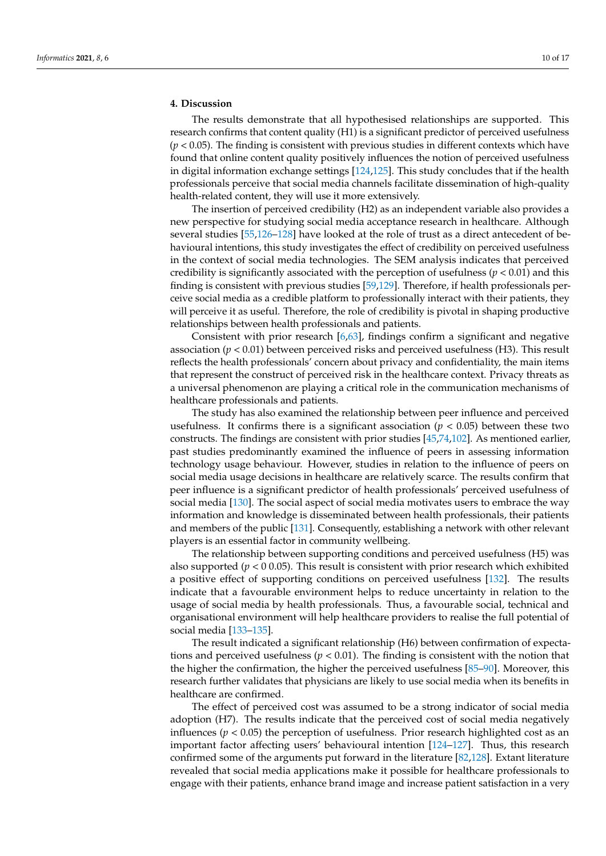# **4. Discussion**

The results demonstrate that all hypothesised relationships are supported. This research confirms that content quality (H1) is a significant predictor of perceived usefulness (*p* < 0.05). The finding is consistent with previous studies in different contexts which have found that online content quality positively influences the notion of perceived usefulness in digital information exchange settings [\[124](#page-15-27)[,125\]](#page-15-28). This study concludes that if the health professionals perceive that social media channels facilitate dissemination of high-quality health-related content, they will use it more extensively.

The insertion of perceived credibility (H2) as an independent variable also provides a new perspective for studying social media acceptance research in healthcare. Although several studies [\[55,](#page-13-16)[126–](#page-15-29)[128\]](#page-15-30) have looked at the role of trust as a direct antecedent of behavioural intentions, this study investigates the effect of credibility on perceived usefulness in the context of social media technologies. The SEM analysis indicates that perceived credibility is significantly associated with the perception of usefulness ( $p < 0.01$ ) and this finding is consistent with previous studies [\[59,](#page-13-19)[129\]](#page-16-0). Therefore, if health professionals perceive social media as a credible platform to professionally interact with their patients, they will perceive it as useful. Therefore, the role of credibility is pivotal in shaping productive relationships between health professionals and patients.

Consistent with prior research [\[6](#page-11-4)[,63\]](#page-13-22), findings confirm a significant and negative association  $(p < 0.01)$  between perceived risks and perceived usefulness (H3). This result reflects the health professionals' concern about privacy and confidentiality, the main items that represent the construct of perceived risk in the healthcare context. Privacy threats as a universal phenomenon are playing a critical role in the communication mechanisms of healthcare professionals and patients.

The study has also examined the relationship between peer influence and perceived usefulness. It confirms there is a significant association  $(p < 0.05)$  between these two constructs. The findings are consistent with prior studies [\[45](#page-13-6)[,74](#page-14-6)[,102\]](#page-15-7). As mentioned earlier, past studies predominantly examined the influence of peers in assessing information technology usage behaviour. However, studies in relation to the influence of peers on social media usage decisions in healthcare are relatively scarce. The results confirm that peer influence is a significant predictor of health professionals' perceived usefulness of social media [\[130\]](#page-16-1). The social aspect of social media motivates users to embrace the way information and knowledge is disseminated between health professionals, their patients and members of the public [\[131\]](#page-16-2). Consequently, establishing a network with other relevant players is an essential factor in community wellbeing.

The relationship between supporting conditions and perceived usefulness (H5) was also supported (*p* < 0 0.05). This result is consistent with prior research which exhibited a positive effect of supporting conditions on perceived usefulness [\[132\]](#page-16-3). The results indicate that a favourable environment helps to reduce uncertainty in relation to the usage of social media by health professionals. Thus, a favourable social, technical and organisational environment will help healthcare providers to realise the full potential of social media [\[133–](#page-16-4)[135\]](#page-16-5).

The result indicated a significant relationship (H6) between confirmation of expectations and perceived usefulness ( $p < 0.01$ ). The finding is consistent with the notion that the higher the confirmation, the higher the perceived usefulness [\[85](#page-14-14)[–90\]](#page-14-19). Moreover, this research further validates that physicians are likely to use social media when its benefits in healthcare are confirmed.

The effect of perceived cost was assumed to be a strong indicator of social media adoption (H7). The results indicate that the perceived cost of social media negatively influences ( $p < 0.05$ ) the perception of usefulness. Prior research highlighted cost as an important factor affecting users' behavioural intention [\[124](#page-15-27)[–127\]](#page-15-31). Thus, this research confirmed some of the arguments put forward in the literature [\[82,](#page-14-11)[128\]](#page-15-30). Extant literature revealed that social media applications make it possible for healthcare professionals to engage with their patients, enhance brand image and increase patient satisfaction in a very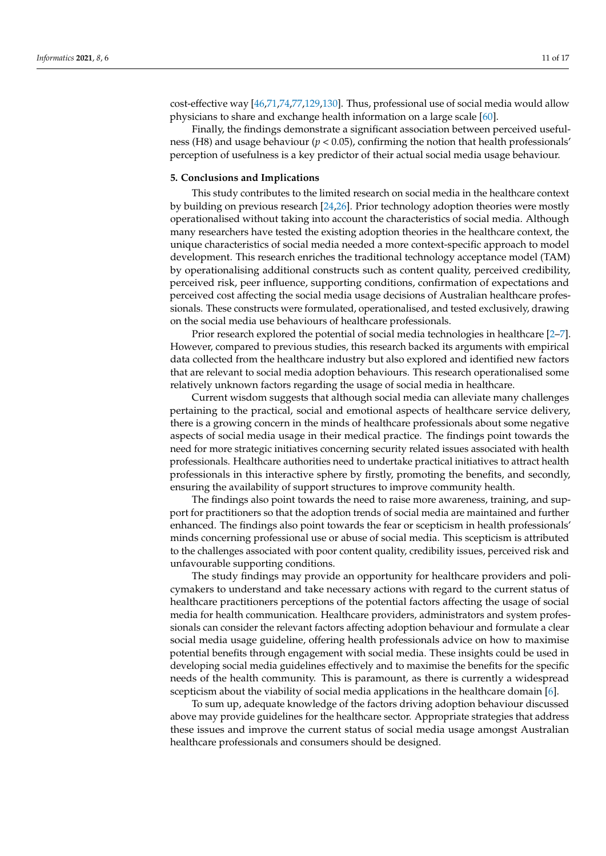cost-effective way [\[46](#page-13-7)[,71,](#page-14-3)[74,](#page-14-6)[77](#page-14-20)[,129](#page-16-0)[,130\]](#page-16-1). Thus, professional use of social media would allow physicians to share and exchange health information on a large scale [\[60\]](#page-13-20).

Finally, the findings demonstrate a significant association between perceived usefulness (H8) and usage behaviour  $(p < 0.05)$ , confirming the notion that health professionals' perception of usefulness is a key predictor of their actual social media usage behaviour.

### **5. Conclusions and Implications**

This study contributes to the limited research on social media in the healthcare context by building on previous research [\[24,](#page-12-6)[26\]](#page-12-7). Prior technology adoption theories were mostly operationalised without taking into account the characteristics of social media. Although many researchers have tested the existing adoption theories in the healthcare context, the unique characteristics of social media needed a more context-specific approach to model development. This research enriches the traditional technology acceptance model (TAM) by operationalising additional constructs such as content quality, perceived credibility, perceived risk, peer influence, supporting conditions, confirmation of expectations and perceived cost affecting the social media usage decisions of Australian healthcare professionals. These constructs were formulated, operationalised, and tested exclusively, drawing on the social media use behaviours of healthcare professionals.

Prior research explored the potential of social media technologies in healthcare [\[2](#page-11-1)[–7\]](#page-11-5). However, compared to previous studies, this research backed its arguments with empirical data collected from the healthcare industry but also explored and identified new factors that are relevant to social media adoption behaviours. This research operationalised some relatively unknown factors regarding the usage of social media in healthcare.

Current wisdom suggests that although social media can alleviate many challenges pertaining to the practical, social and emotional aspects of healthcare service delivery, there is a growing concern in the minds of healthcare professionals about some negative aspects of social media usage in their medical practice. The findings point towards the need for more strategic initiatives concerning security related issues associated with health professionals. Healthcare authorities need to undertake practical initiatives to attract health professionals in this interactive sphere by firstly, promoting the benefits, and secondly, ensuring the availability of support structures to improve community health.

The findings also point towards the need to raise more awareness, training, and support for practitioners so that the adoption trends of social media are maintained and further enhanced. The findings also point towards the fear or scepticism in health professionals' minds concerning professional use or abuse of social media. This scepticism is attributed to the challenges associated with poor content quality, credibility issues, perceived risk and unfavourable supporting conditions.

The study findings may provide an opportunity for healthcare providers and policymakers to understand and take necessary actions with regard to the current status of healthcare practitioners perceptions of the potential factors affecting the usage of social media for health communication. Healthcare providers, administrators and system professionals can consider the relevant factors affecting adoption behaviour and formulate a clear social media usage guideline, offering health professionals advice on how to maximise potential benefits through engagement with social media. These insights could be used in developing social media guidelines effectively and to maximise the benefits for the specific needs of the health community. This is paramount, as there is currently a widespread scepticism about the viability of social media applications in the healthcare domain [\[6\]](#page-11-4).

To sum up, adequate knowledge of the factors driving adoption behaviour discussed above may provide guidelines for the healthcare sector. Appropriate strategies that address these issues and improve the current status of social media usage amongst Australian healthcare professionals and consumers should be designed.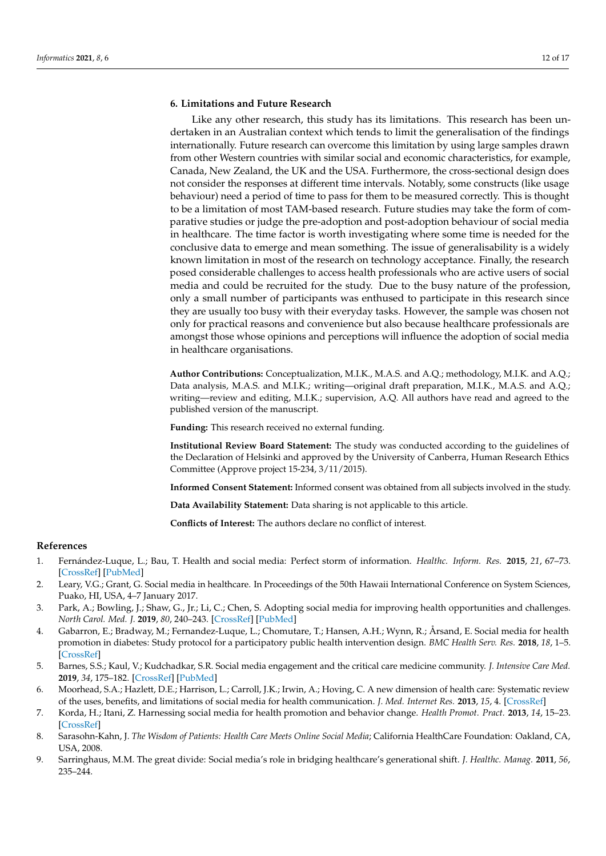# **6. Limitations and Future Research**

Like any other research, this study has its limitations. This research has been undertaken in an Australian context which tends to limit the generalisation of the findings internationally. Future research can overcome this limitation by using large samples drawn from other Western countries with similar social and economic characteristics, for example, Canada, New Zealand, the UK and the USA. Furthermore, the cross-sectional design does not consider the responses at different time intervals. Notably, some constructs (like usage behaviour) need a period of time to pass for them to be measured correctly. This is thought to be a limitation of most TAM-based research. Future studies may take the form of comparative studies or judge the pre-adoption and post-adoption behaviour of social media in healthcare. The time factor is worth investigating where some time is needed for the conclusive data to emerge and mean something. The issue of generalisability is a widely known limitation in most of the research on technology acceptance. Finally, the research posed considerable challenges to access health professionals who are active users of social media and could be recruited for the study. Due to the busy nature of the profession, only a small number of participants was enthused to participate in this research since they are usually too busy with their everyday tasks. However, the sample was chosen not only for practical reasons and convenience but also because healthcare professionals are amongst those whose opinions and perceptions will influence the adoption of social media in healthcare organisations.

**Author Contributions:** Conceptualization, M.I.K., M.A.S. and A.Q.; methodology, M.I.K. and A.Q.; Data analysis, M.A.S. and M.I.K.; writing—original draft preparation, M.I.K., M.A.S. and A.Q.; writing—review and editing, M.I.K.; supervision, A.Q. All authors have read and agreed to the published version of the manuscript.

**Funding:** This research received no external funding.

**Institutional Review Board Statement:** The study was conducted according to the guidelines of the Declaration of Helsinki and approved by the University of Canberra, Human Research Ethics Committee (Approve project 15-234, 3/11/2015).

**Informed Consent Statement:** Informed consent was obtained from all subjects involved in the study.

**Data Availability Statement:** Data sharing is not applicable to this article.

**Conflicts of Interest:** The authors declare no conflict of interest.

# **References**

- <span id="page-11-0"></span>1. Fernández-Luque, L.; Bau, T. Health and social media: Perfect storm of information. *Healthc. Inform. Res.* **2015**, *21*, 67–73. [\[CrossRef\]](http://doi.org/10.4258/hir.2015.21.2.67) [\[PubMed\]](http://www.ncbi.nlm.nih.gov/pubmed/25995958)
- <span id="page-11-1"></span>2. Leary, V.G.; Grant, G. Social media in healthcare. In Proceedings of the 50th Hawaii International Conference on System Sciences, Puako, HI, USA, 4–7 January 2017.
- 3. Park, A.; Bowling, J.; Shaw, G., Jr.; Li, C.; Chen, S. Adopting social media for improving health opportunities and challenges. *North Carol. Med. J.* **2019**, *80*, 240–243. [\[CrossRef\]](http://doi.org/10.18043/ncm.80.4.240) [\[PubMed\]](http://www.ncbi.nlm.nih.gov/pubmed/31278188)
- <span id="page-11-2"></span>4. Gabarron, E.; Bradway, M.; Fernandez-Luque, L.; Chomutare, T.; Hansen, A.H.; Wynn, R.; Årsand, E. Social media for health promotion in diabetes: Study protocol for a participatory public health intervention design. *BMC Health Serv. Res.* **2018**, *18*, 1–5. [\[CrossRef\]](http://doi.org/10.1186/s12913-018-3178-7)
- <span id="page-11-3"></span>5. Barnes, S.S.; Kaul, V.; Kudchadkar, S.R. Social media engagement and the critical care medicine community. *J. Intensive Care Med.* **2019**, *34*, 175–182. [\[CrossRef\]](http://doi.org/10.1177/0885066618769599) [\[PubMed\]](http://www.ncbi.nlm.nih.gov/pubmed/29699469)
- <span id="page-11-4"></span>6. Moorhead, S.A.; Hazlett, D.E.; Harrison, L.; Carroll, J.K.; Irwin, A.; Hoving, C. A new dimension of health care: Systematic review of the uses, benefits, and limitations of social media for health communication. *J. Med. Internet Res.* **2013**, *15*, 4. [\[CrossRef\]](http://doi.org/10.2196/jmir.1933)
- <span id="page-11-5"></span>7. Korda, H.; Itani, Z. Harnessing social media for health promotion and behavior change. *Health Promot. Pract.* **2013**, *14*, 15–23. [\[CrossRef\]](http://doi.org/10.1177/1524839911405850)
- <span id="page-11-6"></span>8. Sarasohn-Kahn, J. *The Wisdom of Patients: Health Care Meets Online Social Media*; California HealthCare Foundation: Oakland, CA, USA, 2008.
- 9. Sarringhaus, M.M. The great divide: Social media's role in bridging healthcare's generational shift. *J. Healthc. Manag.* **2011**, *56*, 235–244.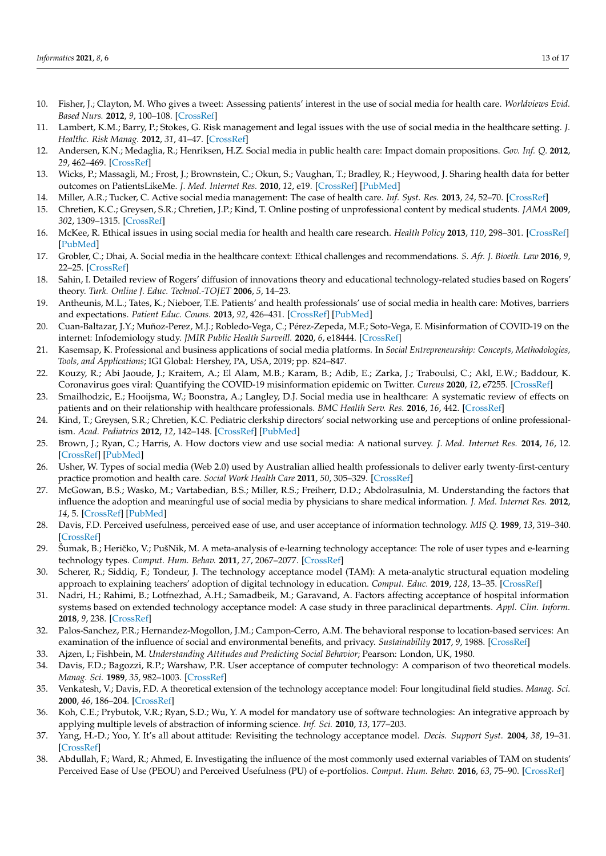- <span id="page-12-8"></span>10. Fisher, J.; Clayton, M. Who gives a tweet: Assessing patients' interest in the use of social media for health care. *Worldviews Evid. Based Nurs.* **2012**, *9*, 100–108. [\[CrossRef\]](http://doi.org/10.1111/j.1741-6787.2012.00243.x)
- 11. Lambert, K.M.; Barry, P.; Stokes, G. Risk management and legal issues with the use of social media in the healthcare setting. *J. Healthc. Risk Manag.* **2012**, *31*, 41–47. [\[CrossRef\]](http://doi.org/10.1002/jhrm.20103)
- <span id="page-12-0"></span>12. Andersen, K.N.; Medaglia, R.; Henriksen, H.Z. Social media in public health care: Impact domain propositions. *Gov. Inf. Q.* **2012**, *29*, 462–469. [\[CrossRef\]](http://doi.org/10.1016/j.giq.2012.07.004)
- <span id="page-12-1"></span>13. Wicks, P.; Massagli, M.; Frost, J.; Brownstein, C.; Okun, S.; Vaughan, T.; Bradley, R.; Heywood, J. Sharing health data for better outcomes on PatientsLikeMe. *J. Med. Internet Res.* **2010**, *12*, e19. [\[CrossRef\]](http://doi.org/10.2196/jmir.1549) [\[PubMed\]](http://www.ncbi.nlm.nih.gov/pubmed/20542858)
- <span id="page-12-2"></span>14. Miller, A.R.; Tucker, C. Active social media management: The case of health care. *Inf. Syst. Res.* **2013**, *24*, 52–70. [\[CrossRef\]](http://doi.org/10.1287/isre.1120.0466)
- <span id="page-12-3"></span>15. Chretien, K.C.; Greysen, S.R.; Chretien, J.P.; Kind, T. Online posting of unprofessional content by medical students. *JAMA* **2009**, *302*, 1309–1315. [\[CrossRef\]](http://doi.org/10.1001/jama.2009.1387)
- 16. McKee, R. Ethical issues in using social media for health and health care research. *Health Policy* **2013**, *110*, 298–301. [\[CrossRef\]](http://doi.org/10.1016/j.healthpol.2013.02.006) [\[PubMed\]](http://www.ncbi.nlm.nih.gov/pubmed/23477806)
- 17. Grobler, C.; Dhai, A. Social media in the healthcare context: Ethical challenges and recommendations. *S. Afr. J. Bioeth. Law* **2016**, *9*, 22–25. [\[CrossRef\]](http://doi.org/10.7196/SAJBL.2016.v9i1.464)
- <span id="page-12-21"></span>18. Sahin, I. Detailed review of Rogers' diffusion of innovations theory and educational technology-related studies based on Rogers' theory. *Turk. Online J. Educ. Technol.-TOJET* **2006**, *5*, 14–23.
- <span id="page-12-20"></span>19. Antheunis, M.L.; Tates, K.; Nieboer, T.E. Patients' and health professionals' use of social media in health care: Motives, barriers and expectations. *Patient Educ. Couns.* **2013**, *92*, 426–431. [\[CrossRef\]](http://doi.org/10.1016/j.pec.2013.06.020) [\[PubMed\]](http://www.ncbi.nlm.nih.gov/pubmed/23899831)
- 20. Cuan-Baltazar, J.Y.; Muñoz-Perez, M.J.; Robledo-Vega, C.; Pérez-Zepeda, M.F.; Soto-Vega, E. Misinformation of COVID-19 on the internet: Infodemiology study. *JMIR Public Health Surveill.* **2020**, *6*, e18444. [\[CrossRef\]](http://doi.org/10.2196/18444)
- 21. Kasemsap, K. Professional and business applications of social media platforms. In *Social Entrepreneurship: Concepts, Methodologies, Tools, and Applications*; IGI Global: Hershey, PA, USA, 2019; pp. 824–847.
- <span id="page-12-4"></span>22. Kouzy, R.; Abi Jaoude, J.; Kraitem, A.; El Alam, M.B.; Karam, B.; Adib, E.; Zarka, J.; Traboulsi, C.; Akl, E.W.; Baddour, K. Coronavirus goes viral: Quantifying the COVID-19 misinformation epidemic on Twitter. *Cureus* **2020**, *12*, e7255. [\[CrossRef\]](http://doi.org/10.7759/cureus.7255)
- <span id="page-12-5"></span>23. Smailhodzic, E.; Hooijsma, W.; Boonstra, A.; Langley, D.J. Social media use in healthcare: A systematic review of effects on patients and on their relationship with healthcare professionals. *BMC Health Serv. Res.* **2016**, *16*, 442. [\[CrossRef\]](http://doi.org/10.1186/s12913-016-1691-0)
- <span id="page-12-6"></span>24. Kind, T.; Greysen, S.R.; Chretien, K.C. Pediatric clerkship directors' social networking use and perceptions of online professionalism. *Acad. Pediatrics* **2012**, *12*, 142–148. [\[CrossRef\]](http://doi.org/10.1016/j.acap.2011.12.003) [\[PubMed\]](http://www.ncbi.nlm.nih.gov/pubmed/22306287)
- 25. Brown, J.; Ryan, C.; Harris, A. How doctors view and use social media: A national survey. *J. Med. Internet Res.* **2014**, *16*, 12. [\[CrossRef\]](http://doi.org/10.2196/jmir.3589) [\[PubMed\]](http://www.ncbi.nlm.nih.gov/pubmed/25470407)
- <span id="page-12-7"></span>26. Usher, W. Types of social media (Web 2.0) used by Australian allied health professionals to deliver early twenty-first-century practice promotion and health care. *Social Work Health Care* **2011**, *50*, 305–329. [\[CrossRef\]](http://doi.org/10.1080/00981389.2010.534317)
- <span id="page-12-9"></span>27. McGowan, B.S.; Wasko, M.; Vartabedian, B.S.; Miller, R.S.; Freiherr, D.D.; Abdolrasulnia, M. Understanding the factors that influence the adoption and meaningful use of social media by physicians to share medical information. *J. Med. Internet Res.* **2012**, *14*, 5. [\[CrossRef\]](http://doi.org/10.2196/jmir.2138) [\[PubMed\]](http://www.ncbi.nlm.nih.gov/pubmed/23006336)
- <span id="page-12-10"></span>28. Davis, F.D. Perceived usefulness, perceived ease of use, and user acceptance of information technology. *MIS Q.* **1989**, *13*, 319–340. [\[CrossRef\]](http://doi.org/10.2307/249008)
- <span id="page-12-11"></span>29. Šumak, B.; Heričko, V.; PušNik, M. A meta-analysis of e-learning technology acceptance: The role of user types and e-learning technology types. *Comput. Hum. Behav.* **2011**, *27*, 2067–2077. [\[CrossRef\]](http://doi.org/10.1016/j.chb.2011.08.005)
- <span id="page-12-12"></span>30. Scherer, R.; Siddiq, F.; Tondeur, J. The technology acceptance model (TAM): A meta-analytic structural equation modeling approach to explaining teachers' adoption of digital technology in education. *Comput. Educ.* **2019**, *128*, 13–35. [\[CrossRef\]](http://doi.org/10.1016/j.compedu.2018.09.009)
- <span id="page-12-13"></span>31. Nadri, H.; Rahimi, B.; Lotfnezhad, A.H.; Samadbeik, M.; Garavand, A. Factors affecting acceptance of hospital information systems based on extended technology acceptance model: A case study in three paraclinical departments. *Appl. Clin. Inform.* **2018**, *9*, 238. [\[CrossRef\]](http://doi.org/10.1055/s-0038-1641595)
- <span id="page-12-14"></span>32. Palos-Sanchez, P.R.; Hernandez-Mogollon, J.M.; Campon-Cerro, A.M. The behavioral response to location-based services: An examination of the influence of social and environmental benefits, and privacy. *Sustainability* **2017**, *9*, 1988. [\[CrossRef\]](http://doi.org/10.3390/su9111988)
- <span id="page-12-15"></span>33. Ajzen, I.; Fishbein, M. *Understanding Attitudes and Predicting Social Behavior*; Pearson: London, UK, 1980.
- <span id="page-12-16"></span>34. Davis, F.D.; Bagozzi, R.P.; Warshaw, P.R. User acceptance of computer technology: A comparison of two theoretical models. *Manag. Sci.* **1989**, *35*, 982–1003. [\[CrossRef\]](http://doi.org/10.1287/mnsc.35.8.982)
- <span id="page-12-17"></span>35. Venkatesh, V.; Davis, F.D. A theoretical extension of the technology acceptance model: Four longitudinal field studies. *Manag. Sci.* **2000**, *46*, 186–204. [\[CrossRef\]](http://doi.org/10.1287/mnsc.46.2.186.11926)
- 36. Koh, C.E.; Prybutok, V.R.; Ryan, S.D.; Wu, Y. A model for mandatory use of software technologies: An integrative approach by applying multiple levels of abstraction of informing science. *Inf. Sci.* **2010**, *13*, 177–203.
- <span id="page-12-18"></span>37. Yang, H.-D.; Yoo, Y. It's all about attitude: Revisiting the technology acceptance model. *Decis. Support Syst.* **2004**, *38*, 19–31. [\[CrossRef\]](http://doi.org/10.1016/S0167-9236(03)00062-9)
- <span id="page-12-19"></span>38. Abdullah, F.; Ward, R.; Ahmed, E. Investigating the influence of the most commonly used external variables of TAM on students' Perceived Ease of Use (PEOU) and Perceived Usefulness (PU) of e-portfolios. *Comput. Hum. Behav.* **2016**, *63*, 75–90. [\[CrossRef\]](http://doi.org/10.1016/j.chb.2016.05.014)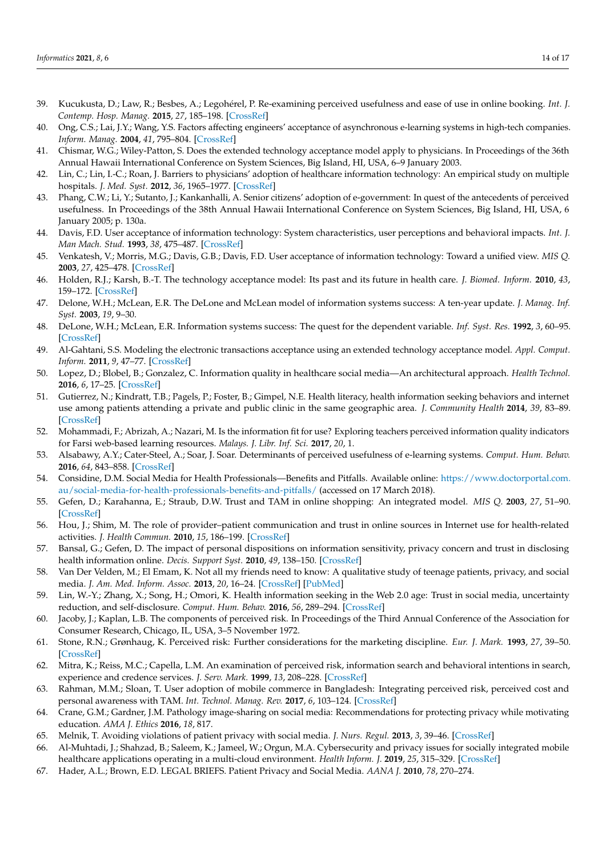- <span id="page-13-0"></span>39. Kucukusta, D.; Law, R.; Besbes, A.; Legohérel, P. Re-examining perceived usefulness and ease of use in online booking. *Int. J. Contemp. Hosp. Manag.* **2015**, *27*, 185–198. [\[CrossRef\]](http://doi.org/10.1108/IJCHM-09-2013-0413)
- <span id="page-13-1"></span>40. Ong, C.S.; Lai, J.Y.; Wang, Y.S. Factors affecting engineers' acceptance of asynchronous e-learning systems in high-tech companies. *Inform. Manag.* **2004**, *41*, 795–804. [\[CrossRef\]](http://doi.org/10.1016/j.im.2003.08.012)
- <span id="page-13-2"></span>41. Chismar, W.G.; Wiley-Patton, S. Does the extended technology acceptance model apply to physicians. In Proceedings of the 36th Annual Hawaii International Conference on System Sciences, Big Island, HI, USA, 6–9 January 2003.
- <span id="page-13-3"></span>42. Lin, C.; Lin, I.-C.; Roan, J. Barriers to physicians' adoption of healthcare information technology: An empirical study on multiple hospitals. *J. Med. Syst.* **2012**, *36*, 1965–1977. [\[CrossRef\]](http://doi.org/10.1007/s10916-011-9656-7)
- <span id="page-13-4"></span>43. Phang, C.W.; Li, Y.; Sutanto, J.; Kankanhalli, A. Senior citizens' adoption of e-government: In quest of the antecedents of perceived usefulness. In Proceedings of the 38th Annual Hawaii International Conference on System Sciences, Big Island, HI, USA, 6 January 2005; p. 130a.
- <span id="page-13-5"></span>44. Davis, F.D. User acceptance of information technology: System characteristics, user perceptions and behavioral impacts. *Int. J. Man Mach. Stud.* **1993**, *38*, 475–487. [\[CrossRef\]](http://doi.org/10.1006/imms.1993.1022)
- <span id="page-13-6"></span>45. Venkatesh, V.; Morris, M.G.; Davis, G.B.; Davis, F.D. User acceptance of information technology: Toward a unified view. *MIS Q.* **2003**, *27*, 425–478. [\[CrossRef\]](http://doi.org/10.2307/30036540)
- <span id="page-13-7"></span>46. Holden, R.J.; Karsh, B.-T. The technology acceptance model: Its past and its future in health care. *J. Biomed. Inform.* **2010**, *43*, 159–172. [\[CrossRef\]](http://doi.org/10.1016/j.jbi.2009.07.002)
- <span id="page-13-8"></span>47. Delone, W.H.; McLean, E.R. The DeLone and McLean model of information systems success: A ten-year update. *J. Manag. Inf. Syst.* **2003**, *19*, 9–30.
- <span id="page-13-9"></span>48. DeLone, W.H.; McLean, E.R. Information systems success: The quest for the dependent variable. *Inf. Syst. Res.* **1992**, *3*, 60–95. [\[CrossRef\]](http://doi.org/10.1287/isre.3.1.60)
- <span id="page-13-10"></span>49. Al-Gahtani, S.S. Modeling the electronic transactions acceptance using an extended technology acceptance model. *Appl. Comput. Inform.* **2011**, *9*, 47–77. [\[CrossRef\]](http://doi.org/10.1016/j.aci.2009.04.001)
- <span id="page-13-11"></span>50. Lopez, D.; Blobel, B.; Gonzalez, C. Information quality in healthcare social media—An architectural approach. *Health Technol.* **2016**, *6*, 17–25. [\[CrossRef\]](http://doi.org/10.1007/s12553-016-0131-9)
- <span id="page-13-12"></span>51. Gutierrez, N.; Kindratt, T.B.; Pagels, P.; Foster, B.; Gimpel, N.E. Health literacy, health information seeking behaviors and internet use among patients attending a private and public clinic in the same geographic area. *J. Community Health* **2014**, *39*, 83–89. [\[CrossRef\]](http://doi.org/10.1007/s10900-013-9742-5)
- <span id="page-13-13"></span>52. Mohammadi, F.; Abrizah, A.; Nazari, M. Is the information fit for use? Exploring teachers perceived information quality indicators for Farsi web-based learning resources. *Malays. J. Libr. Inf. Sci.* **2017**, *20*, 1.
- <span id="page-13-14"></span>53. Alsabawy, A.Y.; Cater-Steel, A.; Soar, J. Soar. Determinants of perceived usefulness of e-learning systems. *Comput. Hum. Behav.* **2016**, *64*, 843–858. [\[CrossRef\]](http://doi.org/10.1016/j.chb.2016.07.065)
- <span id="page-13-15"></span>54. Considine, D.M. Social Media for Health Professionals—Benefits and Pitfalls. Available online: [https://www.doctorportal.com.](https://www.doctorportal.com.au/social-media-for-health-professionals-benefits-and-pitfalls/) [au/social-media-for-health-professionals-benefits-and-pitfalls/](https://www.doctorportal.com.au/social-media-for-health-professionals-benefits-and-pitfalls/) (accessed on 17 March 2018).
- <span id="page-13-16"></span>55. Gefen, D.; Karahanna, E.; Straub, D.W. Trust and TAM in online shopping: An integrated model. *MIS Q.* **2003**, *27*, 51–90. [\[CrossRef\]](http://doi.org/10.2307/30036519)
- <span id="page-13-17"></span>56. Hou, J.; Shim, M. The role of provider–patient communication and trust in online sources in Internet use for health-related activities. *J. Health Commun.* **2010**, *15*, 186–199. [\[CrossRef\]](http://doi.org/10.1080/10810730.2010.522691)
- <span id="page-13-18"></span>57. Bansal, G.; Gefen, D. The impact of personal dispositions on information sensitivity, privacy concern and trust in disclosing health information online. *Decis. Support Syst.* **2010**, *49*, 138–150. [\[CrossRef\]](http://doi.org/10.1016/j.dss.2010.01.010)
- <span id="page-13-23"></span>58. Van Der Velden, M.; El Emam, K. Not all my friends need to know: A qualitative study of teenage patients, privacy, and social media. *J. Am. Med. Inform. Assoc.* **2013**, *20*, 16–24. [\[CrossRef\]](http://doi.org/10.1136/amiajnl-2012-000949) [\[PubMed\]](http://www.ncbi.nlm.nih.gov/pubmed/22771531)
- <span id="page-13-19"></span>59. Lin, W.-Y.; Zhang, X.; Song, H.; Omori, K. Health information seeking in the Web 2.0 age: Trust in social media, uncertainty reduction, and self-disclosure. *Comput. Hum. Behav.* **2016**, *56*, 289–294. [\[CrossRef\]](http://doi.org/10.1016/j.chb.2015.11.055)
- <span id="page-13-20"></span>60. Jacoby, J.; Kaplan, L.B. The components of perceived risk. In Proceedings of the Third Annual Conference of the Association for Consumer Research, Chicago, IL, USA, 3–5 November 1972.
- <span id="page-13-21"></span>61. Stone, R.N.; Grønhaug, K. Perceived risk: Further considerations for the marketing discipline. *Eur. J. Mark.* **1993**, *27*, 39–50. [\[CrossRef\]](http://doi.org/10.1108/03090569310026637)
- 62. Mitra, K.; Reiss, M.C.; Capella, L.M. An examination of perceived risk, information search and behavioral intentions in search, experience and credence services. *J. Serv. Mark.* **1999**, *13*, 208–228. [\[CrossRef\]](http://doi.org/10.1108/08876049910273763)
- <span id="page-13-22"></span>63. Rahman, M.M.; Sloan, T. User adoption of mobile commerce in Bangladesh: Integrating perceived risk, perceived cost and personal awareness with TAM. *Int. Technol. Manag. Rev.* **2017**, *6*, 103–124. [\[CrossRef\]](http://doi.org/10.2991/itmr.2017.6.3.4)
- <span id="page-13-24"></span>64. Crane, G.M.; Gardner, J.M. Pathology image-sharing on social media: Recommendations for protecting privacy while motivating education. *AMA J. Ethics* **2016**, *18*, 817.
- 65. Melnik, T. Avoiding violations of patient privacy with social media. *J. Nurs. Regul.* **2013**, *3*, 39–46. [\[CrossRef\]](http://doi.org/10.1016/S2155-8256(15)30185-X)
- <span id="page-13-25"></span>66. Al-Muhtadi, J.; Shahzad, B.; Saleem, K.; Jameel, W.; Orgun, M.A. Cybersecurity and privacy issues for socially integrated mobile healthcare applications operating in a multi-cloud environment. *Health Inform. J.* **2019**, *25*, 315–329. [\[CrossRef\]](http://doi.org/10.1177/1460458217706184)
- <span id="page-13-26"></span>67. Hader, A.L.; Brown, E.D. LEGAL BRIEFS. Patient Privacy and Social Media. *AANA J.* **2010**, *78*, 270–274.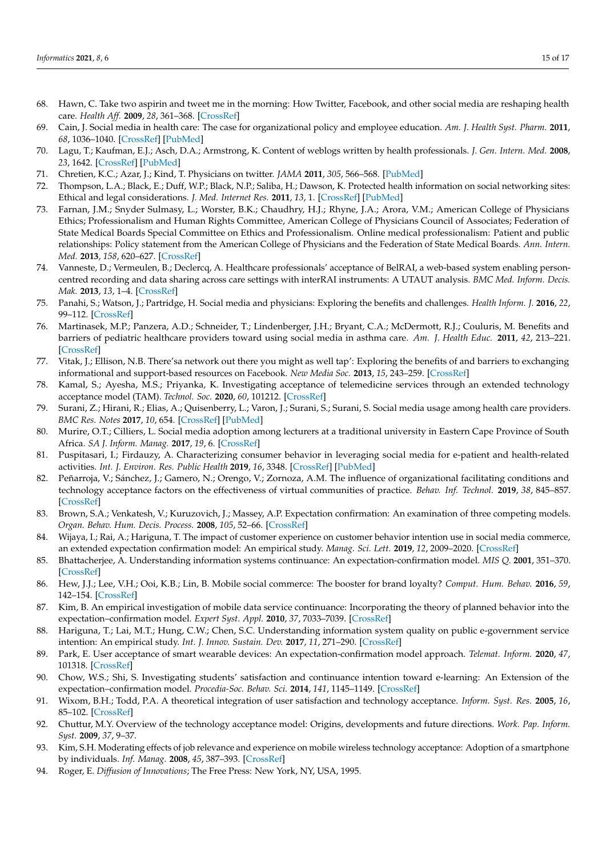- <span id="page-14-0"></span>68. Hawn, C. Take two aspirin and tweet me in the morning: How Twitter, Facebook, and other social media are reshaping health care. *Health Aff.* **2009**, *28*, 361–368. [\[CrossRef\]](http://doi.org/10.1377/hlthaff.28.2.361)
- <span id="page-14-1"></span>69. Cain, J. Social media in health care: The case for organizational policy and employee education. *Am. J. Health Syst. Pharm.* **2011**, *68*, 1036–1040. [\[CrossRef\]](http://doi.org/10.2146/ajhp100589) [\[PubMed\]](http://www.ncbi.nlm.nih.gov/pubmed/21593233)
- <span id="page-14-2"></span>70. Lagu, T.; Kaufman, E.J.; Asch, D.A.; Armstrong, K. Content of weblogs written by health professionals. *J. Gen. Intern. Med.* **2008**, *23*, 1642. [\[CrossRef\]](http://doi.org/10.1007/s11606-008-0726-6) [\[PubMed\]](http://www.ncbi.nlm.nih.gov/pubmed/18649110)
- <span id="page-14-3"></span>71. Chretien, K.C.; Azar, J.; Kind, T. Physicians on twitter. *JAMA* **2011**, *305*, 566–568. [\[PubMed\]](http://www.ncbi.nlm.nih.gov/pubmed/21304081)
- <span id="page-14-4"></span>72. Thompson, L.A.; Black, E.; Duff, W.P.; Black, N.P.; Saliba, H.; Dawson, K. Protected health information on social networking sites: Ethical and legal considerations. *J. Med. Internet Res.* **2011**, *13*, 1. [\[CrossRef\]](http://doi.org/10.2196/jmir.1590) [\[PubMed\]](http://www.ncbi.nlm.nih.gov/pubmed/21247862)
- <span id="page-14-5"></span>73. Farnan, J.M.; Snyder Sulmasy, L.; Worster, B.K.; Chaudhry, H.J.; Rhyne, J.A.; Arora, V.M.; American College of Physicians Ethics; Professionalism and Human Rights Committee, American College of Physicians Council of Associates; Federation of State Medical Boards Special Committee on Ethics and Professionalism. Online medical professionalism: Patient and public relationships: Policy statement from the American College of Physicians and the Federation of State Medical Boards. *Ann. Intern. Med.* **2013**, *158*, 620–627. [\[CrossRef\]](http://doi.org/10.7326/0003-4819-158-8-201304160-00100)
- <span id="page-14-6"></span>74. Vanneste, D.; Vermeulen, B.; Declercq, A. Healthcare professionals' acceptance of BelRAI, a web-based system enabling personcentred recording and data sharing across care settings with interRAI instruments: A UTAUT analysis. *BMC Med. Inform. Decis. Mak.* **2013**, *13*, 1–4. [\[CrossRef\]](http://doi.org/10.1186/1472-6947-13-129)
- <span id="page-14-7"></span>75. Panahi, S.; Watson, J.; Partridge, H. Social media and physicians: Exploring the benefits and challenges. *Health Inform. J.* **2016**, *22*, 99–112. [\[CrossRef\]](http://doi.org/10.1177/1460458214540907)
- 76. Martinasek, M.P.; Panzera, A.D.; Schneider, T.; Lindenberger, J.H.; Bryant, C.A.; McDermott, R.J.; Couluris, M. Benefits and barriers of pediatric healthcare providers toward using social media in asthma care. *Am. J. Health Educ.* **2011**, *42*, 213–221. [\[CrossRef\]](http://doi.org/10.1080/19325037.2011.10599190)
- <span id="page-14-20"></span>77. Vitak, J.; Ellison, N.B. There'sa network out there you might as well tap': Exploring the benefits of and barriers to exchanging informational and support-based resources on Facebook. *New Media Soc.* **2013**, *15*, 243–259. [\[CrossRef\]](http://doi.org/10.1177/1461444812451566)
- <span id="page-14-8"></span>78. Kamal, S.; Ayesha, M.S.; Priyanka, K. Investigating acceptance of telemedicine services through an extended technology acceptance model (TAM). *Technol. Soc.* **2020**, *60*, 101212. [\[CrossRef\]](http://doi.org/10.1016/j.techsoc.2019.101212)
- <span id="page-14-9"></span>79. Surani, Z.; Hirani, R.; Elias, A.; Quisenberry, L.; Varon, J.; Surani, S.; Surani, S. Social media usage among health care providers. *BMC Res. Notes* **2017**, *10*, 654. [\[CrossRef\]](http://doi.org/10.1186/s13104-017-2993-y) [\[PubMed\]](http://www.ncbi.nlm.nih.gov/pubmed/29187244)
- <span id="page-14-10"></span>80. Murire, O.T.; Cilliers, L. Social media adoption among lecturers at a traditional university in Eastern Cape Province of South Africa. *SA J. Inform. Manag.* **2017**, *19*, 6. [\[CrossRef\]](http://doi.org/10.4102/sajim.v19i1.834)
- 81. Puspitasari, I.; Firdauzy, A. Characterizing consumer behavior in leveraging social media for e-patient and health-related activities. *Int. J. Environ. Res. Public Health* **2019**, *16*, 3348. [\[CrossRef\]](http://doi.org/10.3390/ijerph16183348) [\[PubMed\]](http://www.ncbi.nlm.nih.gov/pubmed/31514276)
- <span id="page-14-11"></span>82. Peñarroja, V.; Sánchez, J.; Gamero, N.; Orengo, V.; Zornoza, A.M. The influence of organizational facilitating conditions and technology acceptance factors on the effectiveness of virtual communities of practice. *Behav. Inf. Technol.* **2019**, *38*, 845–857. [\[CrossRef\]](http://doi.org/10.1080/0144929X.2018.1564070)
- <span id="page-14-12"></span>83. Brown, S.A.; Venkatesh, V.; Kuruzovich, J.; Massey, A.P. Expectation confirmation: An examination of three competing models. *Organ. Behav. Hum. Decis. Process.* **2008**, *105*, 52–66. [\[CrossRef\]](http://doi.org/10.1016/j.obhdp.2006.09.008)
- <span id="page-14-13"></span>84. Wijaya, I.; Rai, A.; Hariguna, T. The impact of customer experience on customer behavior intention use in social media commerce, an extended expectation confirmation model: An empirical study. *Manag. Sci. Lett.* **2019**, *12*, 2009–2020. [\[CrossRef\]](http://doi.org/10.5267/j.msl.2019.7.005)
- <span id="page-14-14"></span>85. Bhattacherjee, A. Understanding information systems continuance: An expectation-confirmation model. *MIS Q.* **2001**, 351–370. [\[CrossRef\]](http://doi.org/10.2307/3250921)
- <span id="page-14-15"></span>86. Hew, J.J.; Lee, V.H.; Ooi, K.B.; Lin, B. Mobile social commerce: The booster for brand loyalty? *Comput. Hum. Behav.* **2016**, *59*, 142–154. [\[CrossRef\]](http://doi.org/10.1016/j.chb.2016.01.027)
- <span id="page-14-16"></span>87. Kim, B. An empirical investigation of mobile data service continuance: Incorporating the theory of planned behavior into the expectation–confirmation model. *Expert Syst. Appl.* **2010**, *37*, 7033–7039. [\[CrossRef\]](http://doi.org/10.1016/j.eswa.2010.03.015)
- 88. Hariguna, T.; Lai, M.T.; Hung, C.W.; Chen, S.C. Understanding information system quality on public e-government service intention: An empirical study. *Int. J. Innov. Sustain. Dev.* **2017**, *11*, 271–290. [\[CrossRef\]](http://doi.org/10.1504/IJISD.2017.083290)
- 89. Park, E. User acceptance of smart wearable devices: An expectation-confirmation model approach. *Telemat. Inform.* **2020**, *47*, 101318. [\[CrossRef\]](http://doi.org/10.1016/j.tele.2019.101318)
- <span id="page-14-19"></span>90. Chow, W.S.; Shi, S. Investigating students' satisfaction and continuance intention toward e-learning: An Extension of the expectation–confirmation model. *Procedia-Soc. Behav. Sci.* **2014**, *141*, 1145–1149. [\[CrossRef\]](http://doi.org/10.1016/j.sbspro.2014.05.193)
- 91. Wixom, B.H.; Todd, P.A. A theoretical integration of user satisfaction and technology acceptance. *Inform. Syst. Res.* **2005**, *16*, 85–102. [\[CrossRef\]](http://doi.org/10.1287/isre.1050.0042)
- <span id="page-14-17"></span>92. Chuttur, M.Y. Overview of the technology acceptance model: Origins, developments and future directions. *Work. Pap. Inform. Syst.* **2009**, *37*, 9–37.
- <span id="page-14-18"></span>93. Kim, S.H. Moderating effects of job relevance and experience on mobile wireless technology acceptance: Adoption of a smartphone by individuals. *Inf. Manag.* **2008**, *45*, 387–393. [\[CrossRef\]](http://doi.org/10.1016/j.im.2008.05.002)
- 94. Roger, E. *Diffusion of Innovations*; The Free Press: New York, NY, USA, 1995.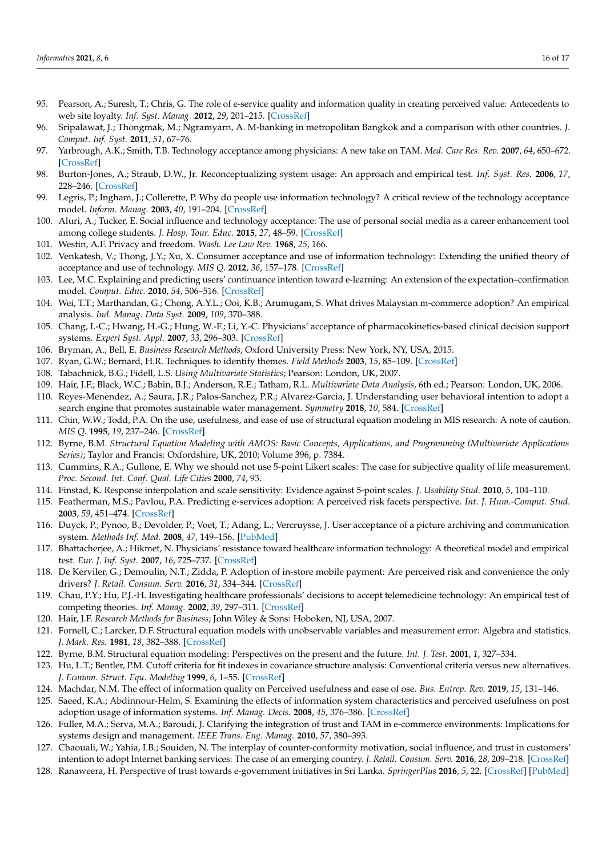- <span id="page-15-0"></span>95. Pearson, A.; Suresh, T.; Chris, G. The role of e-service quality and information quality in creating perceived value: Antecedents to web site loyalty. *Inf. Syst. Manag.* **2012**, *29*, 201–215. [\[CrossRef\]](http://doi.org/10.1080/10580530.2012.687311)
- <span id="page-15-1"></span>96. Sripalawat, J.; Thongmak, M.; Ngramyarn, A. M-banking in metropolitan Bangkok and a comparison with other countries. *J. Comput. Inf. Syst.* **2011**, *51*, 67–76.
- <span id="page-15-2"></span>97. Yarbrough, A.K.; Smith, T.B. Technology acceptance among physicians: A new take on TAM. *Med. Care Res. Rev.* **2007**, *64*, 650–672. [\[CrossRef\]](http://doi.org/10.1177/1077558707305942)
- <span id="page-15-3"></span>98. Burton-Jones, A.; Straub, D.W., Jr. Reconceptualizing system usage: An approach and empirical test. *Inf. Syst. Res.* **2006**, *17*, 228–246. [\[CrossRef\]](http://doi.org/10.1287/isre.1060.0096)
- <span id="page-15-4"></span>99. Legris, P.; Ingham, J.; Collerette, P. Why do people use information technology? A critical review of the technology acceptance model. *Inform. Manag.* **2003**, *40*, 191–204. [\[CrossRef\]](http://doi.org/10.1016/S0378-7206(01)00143-4)
- <span id="page-15-5"></span>100. Aluri, A.; Tucker, E. Social influence and technology acceptance: The use of personal social media as a career enhancement tool among college students. *J. Hosp. Tour. Educ.* **2015**, *27*, 48–59. [\[CrossRef\]](http://doi.org/10.1080/10963758.2015.1033103)
- <span id="page-15-6"></span>101. Westin, A.F. Privacy and freedom. *Wash. Lee Law Rev.* **1968**, *25*, 166.
- <span id="page-15-7"></span>102. Venkatesh, V.; Thong, J.Y.; Xu, X. Consumer acceptance and use of information technology: Extending the unified theory of acceptance and use of technology. *MIS Q.* **2012**, *36*, 157–178. [\[CrossRef\]](http://doi.org/10.2307/41410412)
- <span id="page-15-8"></span>103. Lee, M.C. Explaining and predicting users' continuance intention toward e-learning: An extension of the expectation–confirmation model. *Comput. Educ.* **2010**, *54*, 506–516. [\[CrossRef\]](http://doi.org/10.1016/j.compedu.2009.09.002)
- <span id="page-15-9"></span>104. Wei, T.T.; Marthandan, G.; Chong, A.Y.L.; Ooi, K.B.; Arumugam, S. What drives Malaysian m-commerce adoption? An empirical analysis. *Ind. Manag. Data Syst.* **2009**, *109*, 370–388.
- <span id="page-15-10"></span>105. Chang, I.-C.; Hwang, H.-G.; Hung, W.-F.; Li, Y.-C. Physicians' acceptance of pharmacokinetics-based clinical decision support systems. *Expert Syst. Appl.* **2007**, *33*, 296–303. [\[CrossRef\]](http://doi.org/10.1016/j.eswa.2006.05.001)
- <span id="page-15-11"></span>106. Bryman, A.; Bell, E. *Business Research Methods*; Oxford University Press: New York, NY, USA, 2015.
- <span id="page-15-12"></span>107. Ryan, G.W.; Bernard, H.R. Techniques to identify themes. *Field Methods* **2003**, *15*, 85–109. [\[CrossRef\]](http://doi.org/10.1177/1525822X02239569)
- <span id="page-15-13"></span>108. Tabachnick, B.G.; Fidell, L.S. *Using Multivariate Statistics*; Pearson: London, UK, 2007.
- <span id="page-15-24"></span>109. Hair, J.F.; Black, W.C.; Babin, B.J.; Anderson, R.E.; Tatham, R.L. *Multivariate Data Analysis*, 6th ed.; Pearson: London, UK, 2006.
- <span id="page-15-14"></span>110. Reyes-Menendez, A.; Saura, J.R.; Palos-Sanchez, P.R.; Alvarez-Garcia, J. Understanding user behavioral intention to adopt a search engine that promotes sustainable water management. *Symmetry* **2018**, *10*, 584. [\[CrossRef\]](http://doi.org/10.3390/sym10110584)
- <span id="page-15-15"></span>111. Chin, W.W.; Todd, P.A. On the use, usefulness, and ease of use of structural equation modeling in MIS research: A note of caution. *MIS Q.* **1995**, *19*, 237–246. [\[CrossRef\]](http://doi.org/10.2307/249690)
- <span id="page-15-16"></span>112. Byrne, B.M. *Structural Equation Modeling with AMOS: Basic Concepts, Applications, and Programming (Multivariate Applications Series)*; Taylor and Francis: Oxfordshire, UK, 2010; Volume 396, p. 7384.
- <span id="page-15-17"></span>113. Cummins, R.A.; Gullone, E. Why we should not use 5-point Likert scales: The case for subjective quality of life measurement. *Proc. Second. Int. Conf. Qual. Life Cities* **2000**, *74*, 93.
- <span id="page-15-18"></span>114. Finstad, K. Response interpolation and scale sensitivity: Evidence against 5-point scales. *J. Usability Stud.* **2010**, *5*, 104–110.
- <span id="page-15-19"></span>115. Featherman, M.S.; Pavlou, P.A. Predicting e-services adoption: A perceived risk facets perspective. *Int. J. Hum.-Comput. Stud.* **2003**, *59*, 451–474. [\[CrossRef\]](http://doi.org/10.1016/S1071-5819(03)00111-3)
- 116. Duyck, P.; Pynoo, B.; Devolder, P.; Voet, T.; Adang, L.; Vercruysse, J. User acceptance of a picture archiving and communication system. *Methods Inf. Med.* **2008**, *47*, 149–156. [\[PubMed\]](http://www.ncbi.nlm.nih.gov/pubmed/18338086)
- 117. Bhattacherjee, A.; Hikmet, N. Physicians' resistance toward healthcare information technology: A theoretical model and empirical test. *Eur. J. Inf. Syst.* **2007**, *16*, 725–737. [\[CrossRef\]](http://doi.org/10.1057/palgrave.ejis.3000717)
- <span id="page-15-20"></span>118. De Kerviler, G.; Demoulin, N.T.; Zidda, P. Adoption of in-store mobile payment: Are perceived risk and convenience the only drivers? *J. Retail. Consum. Serv.* **2016**, *31*, 334–344. [\[CrossRef\]](http://doi.org/10.1016/j.jretconser.2016.04.011)
- <span id="page-15-21"></span>119. Chau, P.Y.; Hu, P.J.-H. Investigating healthcare professionals' decisions to accept telemedicine technology: An empirical test of competing theories. *Inf. Manag.* **2002**, *39*, 297–311. [\[CrossRef\]](http://doi.org/10.1016/S0378-7206(01)00098-2)
- <span id="page-15-22"></span>120. Hair, J.F. *Research Methods for Business*; John Wiley & Sons: Hoboken, NJ, USA, 2007.
- <span id="page-15-23"></span>121. Fornell, C.; Larcker, D.F. Structural equation models with unobservable variables and measurement error: Algebra and statistics. *J. Mark. Res.* **1981**, *18*, 382–388. [\[CrossRef\]](http://doi.org/10.1177/002224378101800313)
- <span id="page-15-25"></span>122. Byrne, B.M. Structural equation modeling: Perspectives on the present and the future. *Int. J. Test.* **2001**, *1*, 327–334.
- <span id="page-15-26"></span>123. Hu, L.T.; Bentler, P.M. Cutoff criteria for fit indexes in covariance structure analysis: Conventional criteria versus new alternatives. *J. Econom. Struct. Equ. Modeling* **1999**, *6*, 1–55. [\[CrossRef\]](http://doi.org/10.1080/10705519909540118)
- <span id="page-15-27"></span>124. Machdar, N.M. The effect of information quality on Perceived usefulness and ease of ose. *Bus. Entrep. Rev.* **2019**, *15*, 131–146.
- <span id="page-15-28"></span>125. Saeed, K.A.; Abdinnour-Helm, S. Examining the effects of information system characteristics and perceived usefulness on post adoption usage of information systems. *Inf. Manag. Decis.* **2008**, *45*, 376–386. [\[CrossRef\]](http://doi.org/10.1016/j.im.2008.06.002)
- <span id="page-15-29"></span>126. Fuller, M.A.; Serva, M.A.; Baroudi, J. Clarifying the integration of trust and TAM in e-commerce environments: Implications for systems design and management. *IEEE Trans. Eng. Manag.* **2010**, *57*, 380–393.
- <span id="page-15-31"></span>127. Chaouali, W.; Yahia, I.B.; Souiden, N. The interplay of counter-conformity motivation, social influence, and trust in customers' intention to adopt Internet banking services: The case of an emerging country. *J. Retail. Consum. Serv.* **2016**, *28*, 209–218. [\[CrossRef\]](http://doi.org/10.1016/j.jretconser.2015.10.007)
- <span id="page-15-30"></span>128. Ranaweera, H. Perspective of trust towards e-government initiatives in Sri Lanka. *SpringerPlus* **2016**, *5*, 22. [\[CrossRef\]](http://doi.org/10.1186/s40064-015-1650-y) [\[PubMed\]](http://www.ncbi.nlm.nih.gov/pubmed/26759761)